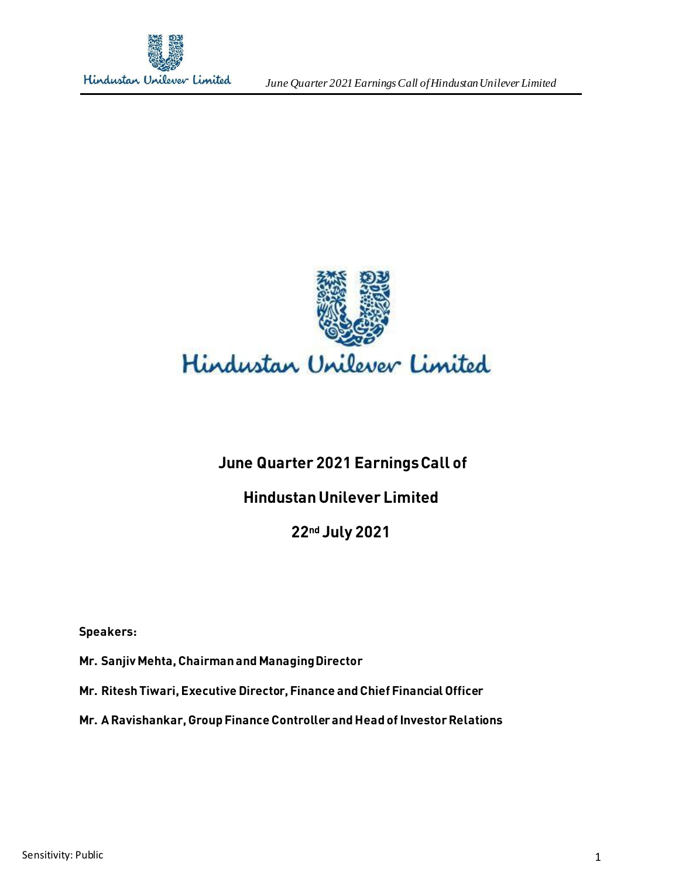

*June Quarter 2021 Earnings Call ofHindustan Unilever Limited*



# **June Quarter 2021 Earnings Call of**

# **Hindustan Unilever Limited**

# **22nd July 2021**

**Speakers:** 

**Mr. Sanjiv Mehta, Chairman and Managing Director**

**Mr. Ritesh Tiwari, Executive Director, Finance and Chief Financial Officer**

**Mr. A Ravishankar, Group Finance Controller and Head of Investor Relations**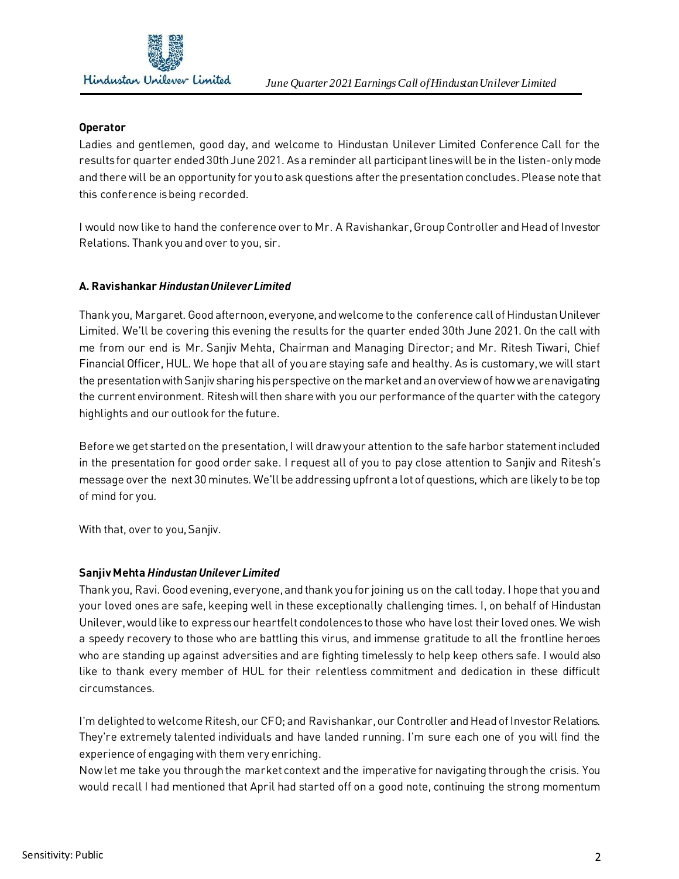

## **Operator**

Ladies and gentlemen, good day, and welcome to Hindustan Unilever Limited Conference Call for the results for quarter ended 30th June 2021. As a reminder all participant lines will be in the listen-only mode and there will be an opportunity for you to ask questions after the presentation concludes. Please note that this conference is being recorded.

I would now like to hand the conference over to Mr. A Ravishankar, GroupController and Head of Investor Relations. Thank you and over to you, sir.

# **A. Ravishankar** *Hindustan Unilever Limited*

Thank you, Margaret. Good afternoon, everyone, and welcome to the conference call of Hindustan Unilever Limited. We'll be covering this evening the results for the quarter ended 30th June 2021. On the call with me from our end is Mr. Sanjiv Mehta, Chairman and Managing Director; and Mr. Ritesh Tiwari, Chief Financial Officer, HUL. We hope that all of you are staying safe and healthy. As is customary, we will start the presentation with Sanjiv sharing his perspective on the market and an overview of how we are navigating the current environment. Ritesh will then share with you our performance of the quarter with the category highlights and our outlook for the future.

Before we get started on the presentation, I will draw your attention to the safe harbor statement included in the presentation for good order sake. I request all of you to pay close attention to Sanjiv and Ritesh's message over the next 30 minutes. We'll be addressing upfront a lot of questions, which are likely to be top of mind for you.

With that, over to you, Sanjiv.

## **Sanjiv Mehta** *Hindustan Unilever Limited*

Thank you, Ravi. Good evening, everyone, and thank you for joining us on the call today. I hope that you and your loved ones are safe, keeping well in these exceptionally challenging times. I, on behalf of Hindustan Unilever, would like to express our heartfelt condolences to those who have lost their loved ones. We wish a speedy recovery to those who are battling this virus, and immense gratitude to all the frontline heroes who are standing up against adversities and are fighting timelessly to help keep others safe. I would also like to thank every member of HUL for their relentless commitment and dedication in these difficult circumstances.

I'm delighted to welcome Ritesh, our CFO; and Ravishankar, our Controller and Head of Investor Relations. They're extremely talented individuals and have landed running. I'm sure each one of you will find the experience of engaging with them very enriching.

Now let me take you through the market context and the imperative for navigating through the crisis. You would recall I had mentioned that April had started off on a good note, continuing the strong momentum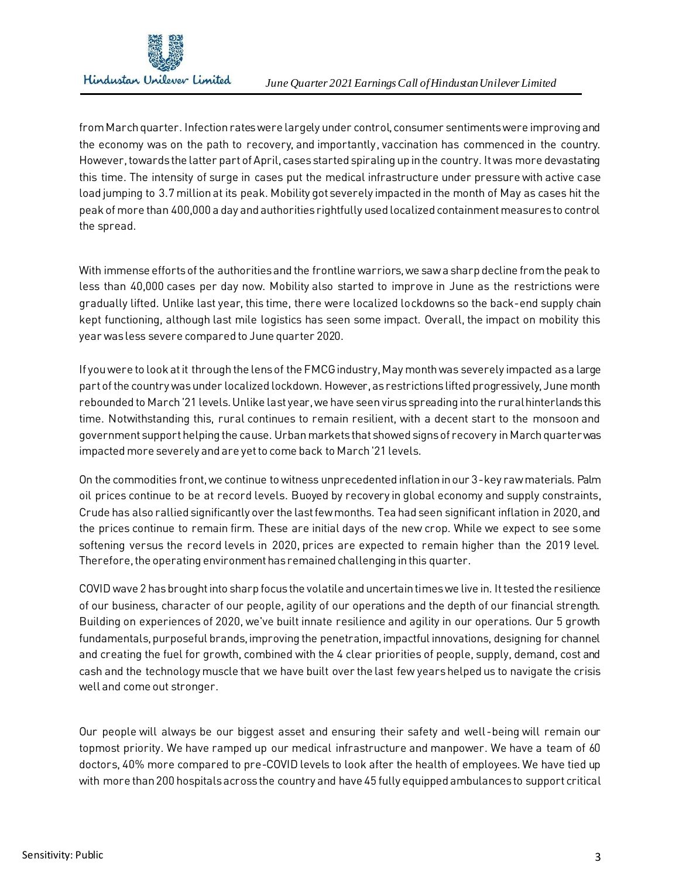

from March quarter. Infection rates were largely under control, consumer sentiments were improving and the economy was on the path to recovery, and importantly, vaccination has commenced in the country. However, towards the latter part of April, cases started spiraling up in the country. It was more devastating this time. The intensity of surge in cases put the medical infrastructure under pressure with active case load jumping to 3.7 million at its peak. Mobility got severely impacted in the month of May as cases hit the peak of more than 400,000 a day and authorities rightfully used localized containment measures to control the spread.

With immense efforts of the authorities and the frontline warriors, we saw a sharp decline from the peak to less than 40,000 cases per day now. Mobility also started to improve in June as the restrictions were gradually lifted. Unlike last year, this time, there were localized lockdowns so the back-end supply chain kept functioning, although last mile logistics has seen some impact. Overall, the impact on mobility this year was less severe compared to June quarter 2020.

If you were to look at it through the lens of the FMCG industry, May month was severely impacted as a large part of the country was under localized lockdown. However, as restrictions lifted progressively, June month rebounded to March '21 levels. Unlike last year, we have seen virusspreading into the rural hinterlands this time. Notwithstanding this, rural continues to remain resilient, with a decent start to the monsoon and government support helping the cause. Urban markets that showed signs of recovery in March quarter was impacted more severely and are yet to come back to March '21 levels.

On the commodities front, we continue to witness unprecedented inflation in our 3-key raw materials. Palm oil prices continue to be at record levels. Buoyed by recovery in global economy and supply constraints, Crude has also rallied significantly over the last few months. Tea had seen significant inflation in 2020, and the prices continue to remain firm. These are initial days of the new crop. While we expect to see some softening versus the record levels in 2020, prices are expected to remain higher than the 2019 level. Therefore, the operating environment has remained challenging in this quarter.

COVID wave 2 has brought into sharp focus the volatile and uncertain times we live in. It tested the resilience of our business, character of our people, agility of our operations and the depth of our financial strength. Building on experiences of 2020, we've built innate resilience and agility in our operations. Our 5 growth fundamentals, purposeful brands, improving the penetration, impactful innovations, designing for channel and creating the fuel for growth, combined with the 4 clear priorities of people, supply, demand, cost and cash and the technology muscle that we have built over the last few years helped us to navigate the crisis well and come out stronger.

Our people will always be our biggest asset and ensuring their safety and well-being will remain our topmost priority. We have ramped up our medical infrastructure and manpower. We have a team of 60 doctors, 40% more compared to pre-COVID levels to look after the health of employees. We have tied up with more than 200 hospitals across the country and have 45 fully equipped ambulances to support critical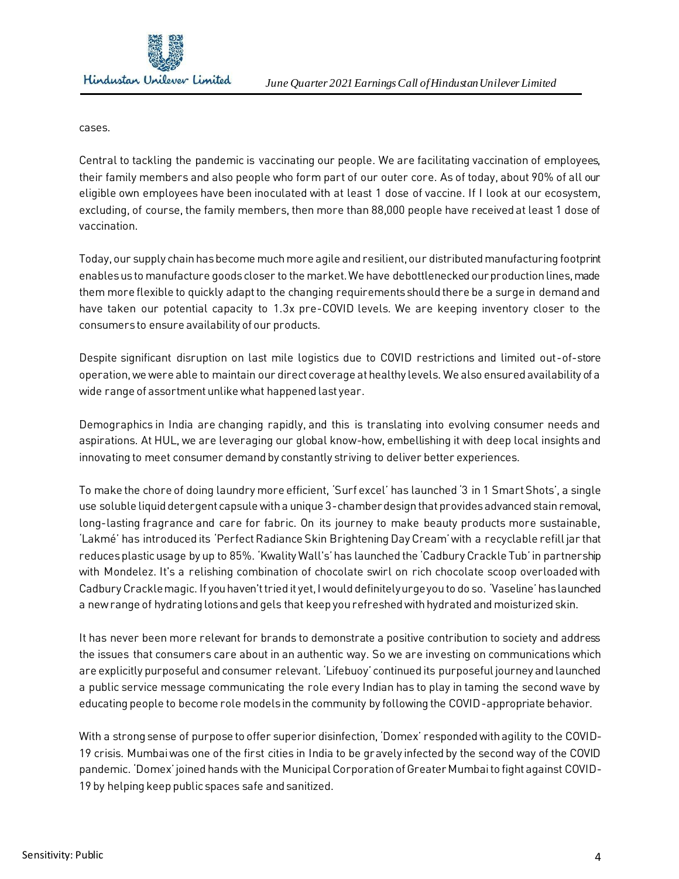cases.

Central to tackling the pandemic is vaccinating our people. We are facilitating vaccination of employees, their family members and also people who form part of our outer core. As of today, about 90% of all our eligible own employees have been inoculated with at least 1 dose of vaccine. If I look at our ecosystem, excluding, of course, the family members, then more than 88,000 people have received at least 1 dose of vaccination.

Today, our supply chain has become much more agile and resilient, our distributed manufacturing footprint enables us to manufacture goods closer to the market. We have debottlenecked our production lines, made them more flexible to quickly adapt to the changing requirements should there be a surge in demand and have taken our potential capacity to 1.3x pre-COVID levels. We are keeping inventory closer to the consumers to ensure availability of our products.

Despite significant disruption on last mile logistics due to COVID restrictions and limited out-of-store operation, we were able to maintain our direct coverage at healthy levels. We also ensured availability of a wide range of assortment unlike what happened last year.

Demographics in India are changing rapidly, and this is translating into evolving consumer needs and aspirations. At HUL, we are leveraging our global know-how, embellishing it with deep local insights and innovating to meet consumer demand by constantly striving to deliver better experiences.

To make the chore of doing laundry more efficient, 'Surf excel' has launched '3 in 1 Smart Shots', a single use soluble liquid detergent capsule with a unique 3-chamber design that provides advanced stain removal, long-lasting fragrance and care for fabric. On its journey to make beauty products more sustainable, 'Lakmé' has introduced its 'Perfect Radiance Skin Brightening Day Cream'with a recyclable refill jar that reduces plastic usage by up to 85%. 'Kwality Wall's'has launched the 'Cadbury Crackle Tub'in partnership with Mondelez. It's a relishing combination of chocolate swirl on rich chocolate scoop overloaded with Cadbury Crackle magic. If you haven't tried it yet, I would definitely urge you to do so. 'Vaseline'has launched a new range of hydrating lotions and gels that keep you refreshed with hydrated and moisturized skin.

It has never been more relevant for brands to demonstrate a positive contribution to society and address the issues that consumers care about in an authentic way. So we are investing on communications which are explicitly purposeful and consumer relevant. 'Lifebuoy'continued its purposeful journey and launched a public service message communicating the role every Indian has to play in taming the second wave by educating people to become role models in the community by following the COVID-appropriate behavior.

With a strong sense of purpose to offer superior disinfection, 'Domex' responded with agility to the COVID-19 crisis. Mumbai was one of the first cities in India to be gravely infected by the second way of the COVID pandemic. 'Domex'joined hands with the Municipal Corporation of Greater Mumbai to fight against COVID-19 by helping keep public spaces safe and sanitized.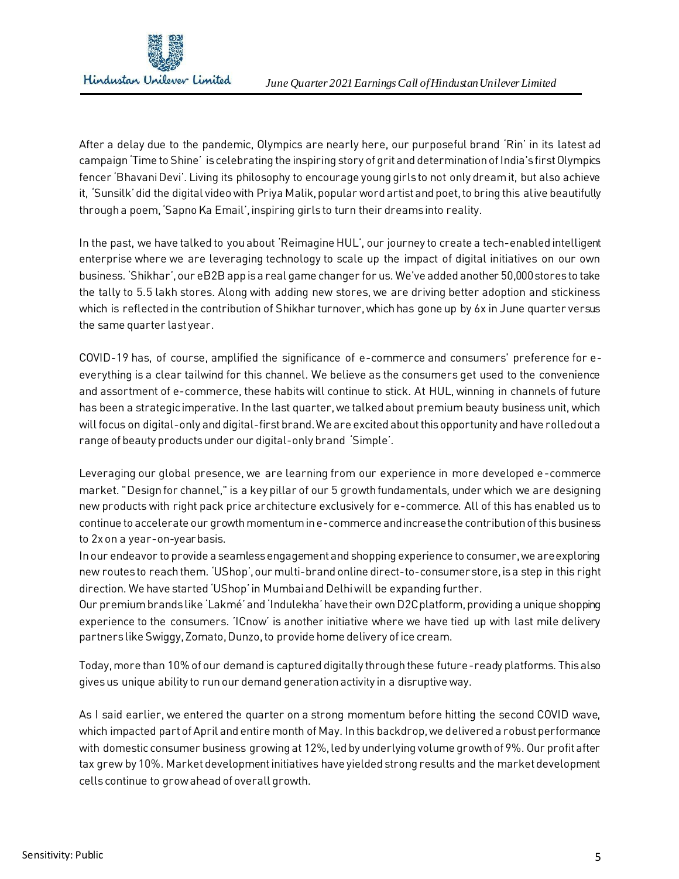

After a delay due to the pandemic, Olympics are nearly here, our purposeful brand 'Rin' in its latest ad campaign 'Time to Shine' is celebrating the inspiring story of grit and determination of India's first Olympics fencer 'Bhavani Devi'. Living its philosophy to encourage young girls to not only dream it, but also achieve it, 'Sunsilk'did the digital video with Priya Malik, popular word artist and poet, to bring this alive beautifully througha poem, 'Sapno Ka Email', inspiring girls to turn their dreams into reality.

In the past, we have talked to you about 'Reimagine HUL', our journey to create a tech-enabled intelligent enterprise where we are leveraging technology to scale up the impact of digital initiatives on our own business. 'Shikhar', our eB2B app is a real game changer for us. We've added another 50,000 stores to take the tally to 5.5 lakh stores. Along with adding new stores, we are driving better adoption and stickiness which is reflected in the contribution of Shikhar turnover, which has gone up by 6x in June quarter versus the same quarter last year.

COVID-19 has, of course, amplified the significance of e-commerce and consumers' preference for eeverything is a clear tailwind for this channel. We believe as the consumers get used to the convenience and assortment of e-commerce, these habits will continue to stick. At HUL, winning in channels of future has been a strategic imperative. In the last quarter, we talked about premium beauty business unit, which will focus on digital-only and digital-first brand. We are excited about this opportunity and have rolled out a range of beauty products under our digital-only brand 'Simple'.

Leveraging our global presence, we are learning from our experience in more developed e-commerce market. "Design for channel," is a key pillar of our 5 growth fundamentals, under which we are designing new products with right pack price architecture exclusively for e-commerce. All of this has enabled us to continue to accelerate our growth momentum in e-commerce and increase the contribution of this business to 2x on a year-on-year basis.

In our endeavor to provide a seamless engagement and shopping experience to consumer, we are exploring new routes to reach them. 'UShop', our multi-brand online direct-to-consumer store, is a step in this right direction. We have started 'UShop'in Mumbai and Delhi will be expanding further.

Our premium brands like 'Lakmé'and 'Indulekha'have their own D2C platform, providing a unique shopping experience to the consumers. 'ICnow' is another initiative where we have tied up with last mile delivery partners like Swiggy, Zomato, Dunzo, to provide home delivery of ice cream.

Today, more than 10% of our demand is captured digitally through these future-ready platforms. This also givesus unique ability to run our demand generation activity in a disruptive way.

As I said earlier, we entered the quarter on a strong momentum before hitting the second COVID wave, which impacted part of April and entire month of May. In this backdrop, we delivered a robust performance with domestic consumer business growing at 12%, led by underlying volume growth of 9%. Our profit after tax grew by 10%. Market development initiatives have yielded strong results and the market development cells continue to grow ahead of overall growth.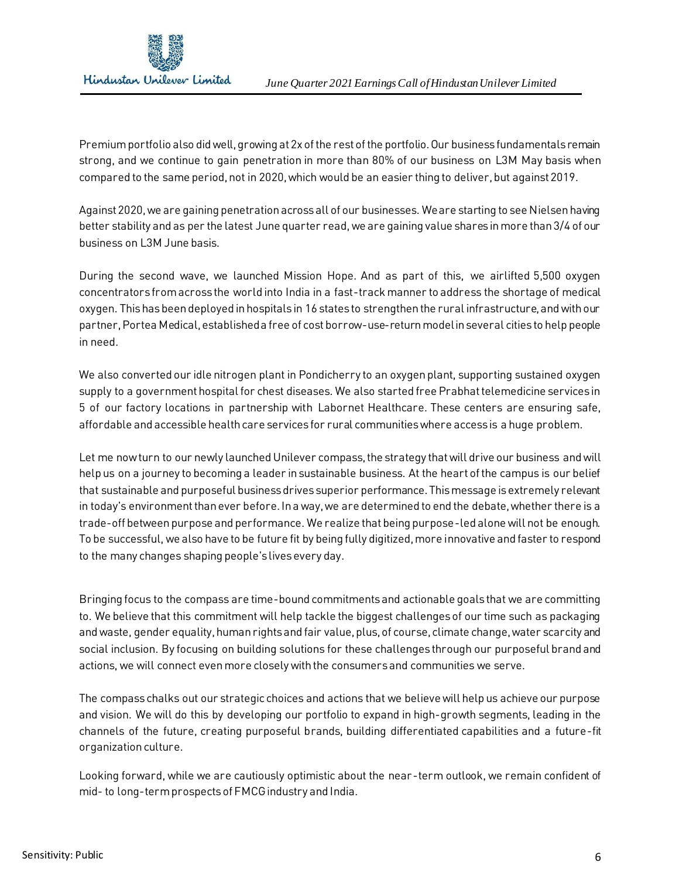

Premium portfolio also did well, growing at 2x of the rest of the portfolio. Our business fundamentals remain strong, and we continue to gain penetration in more than 80% of our business on L3M May basis when compared to the same period, not in 2020, which would be an easier thing to deliver, but against 2019.

Against 2020, we are gaining penetration across all of our businesses. We are starting to see Nielsen having better stability and as per the latest June quarter read, we are gaining value shares in more than 3/4 of our business on L3M June basis.

During the second wave, we launched Mission Hope. And as part of this, we airlifted 5,500 oxygen concentrators from across the world into India in a fast-track manner to address the shortage of medical oxygen. This has been deployed in hospitals in 16 states to strengthen the rural infrastructure, and with our partner, Portea Medical, established a free of cost borrow-use-return model in several cities to help people in need.

We also converted our idle nitrogen plant in Pondicherry to an oxygen plant, supporting sustained oxygen supply to a government hospital for chest diseases. We also started free Prabhat telemedicine services in 5 of our factory locations in partnership with Labornet Healthcare. These centers are ensuring safe, affordable and accessible health care services for rural communities where access is a huge problem.

Let me now turn to our newly launched Unilever compass, the strategy that will drive our business and will help us on a journey to becoming a leader in sustainable business. At the heart of the campus is our belief that sustainable and purposeful business drives superior performance. This message is extremely relevant in today's environment than ever before. In a way, we are determined to end the debate, whether there is a trade-off between purpose and performance. We realize that being purpose-led alone will not be enough. To be successful, we also have to be future fit by being fully digitized, more innovative and faster to respond to the many changes shaping people's lives every day.

Bringing focus to the compass are time-bound commitments and actionable goals that we are committing to. We believe that this commitment will help tackle the biggest challenges of our time such as packaging and waste, gender equality, human rights and fair value, plus, of course, climate change, water scarcity and social inclusion. By focusing on building solutions for these challenges through our purposeful brand and actions, we will connect even more closely with the consumers and communities we serve.

The compass chalks out our strategic choices and actions that we believe will help us achieve our purpose and vision. We will do this by developing our portfolio to expand in high-growth segments, leading in the channels of the future, creating purposeful brands, building differentiated capabilities and a future-fit organization culture.

Looking forward, while we are cautiously optimistic about the near-term outlook, we remain confident of mid- to long-term prospects of FMCG industry and India.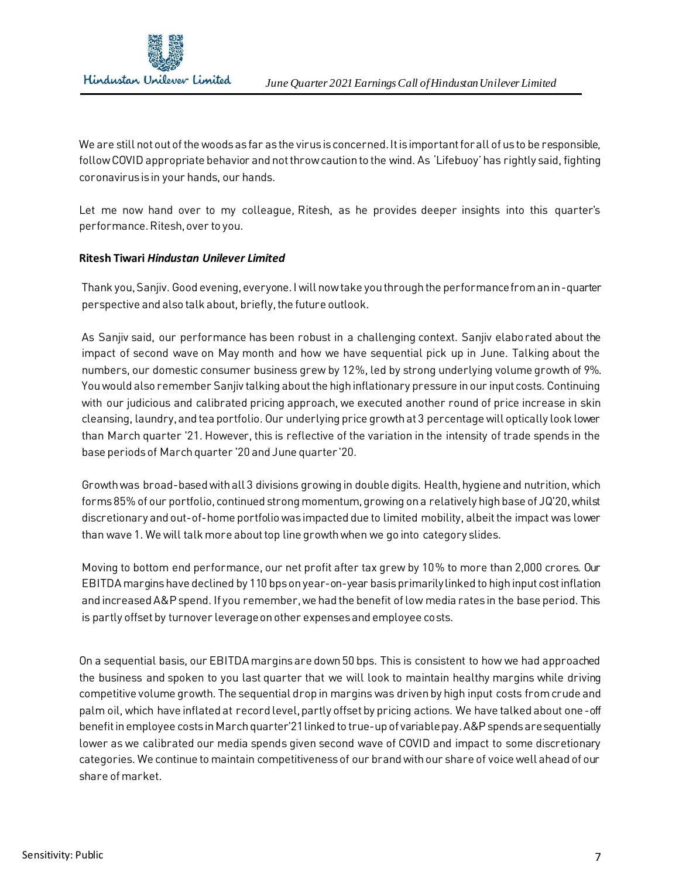

We are still not out of the woods as far as the virus is concerned. It is important for all of us to be responsible, follow COVID appropriate behavior and not throw caution to the wind. As 'Lifebuoy'has rightly said, fighting coronavirus is in your hands, our hands.

Let me now hand over to my colleague, Ritesh, as he provides deeper insights into this quarter's performance. Ritesh, over to you.

## **Ritesh Tiwari** *Hindustan Unilever Limited*

Thank you, Sanjiv. Good evening, everyone. I will now take you through the performance from an in-quarter perspective and also talk about, briefly, the future outlook.

As Sanjiv said, our performance has been robust in a challenging context. Sanjiv elaborated about the impact of second wave on May month and how we have sequential pick up in June. Talking about the numbers, our domestic consumer business grew by 12%, led by strong underlying volume growth of 9%. You would also remember Sanjiv talking about the high inflationary pressure in our input costs. Continuing with our judicious and calibrated pricing approach, we executed another round of price increase in skin cleansing, laundry, and tea portfolio. Our underlying price growth at 3 percentage will optically look lower than March quarter '21. However, this is reflective of the variation in the intensity of trade spends in the base periods of March quarter '20 and June quarter '20.

Growth was broad-based with all 3 divisions growing in double digits. Health, hygiene and nutrition, which forms 85% of our portfolio, continued strong momentum, growing on a relatively high base of JQ'20, whilst discretionary and out-of-home portfolio was impacted due to limited mobility, albeit the impact was lower than wave 1. We will talk more about top line growth when we go into category slides.

Moving to bottom end performance, our net profit after tax grew by 10% to more than 2,000 crores. Our EBITDA margins have declined by 110 bps on year-on-year basis primarily linked to high input cost inflation and increased A&P spend. If you remember, we had the benefit of low media rates in the base period. This is partly offset by turnover leverage on other expenses and employee costs.

On a sequential basis, our EBITDA margins are down 50 bps. This is consistent to how we had approached the business and spoken to you last quarter that we will look to maintain healthy margins while driving competitive volume growth. The sequential drop in margins was driven by high input costs from crude and palm oil, which have inflated at record level, partly offset by pricing actions. We have talked about one-off benefit in employee costs in March quarter'21 linked to true-up of variable pay. A&P spends are sequentially lower as we calibrated our media spends given second wave of COVID and impact to some discretionary categories. We continue to maintain competitiveness of our brand with our share of voice well ahead of our share of market.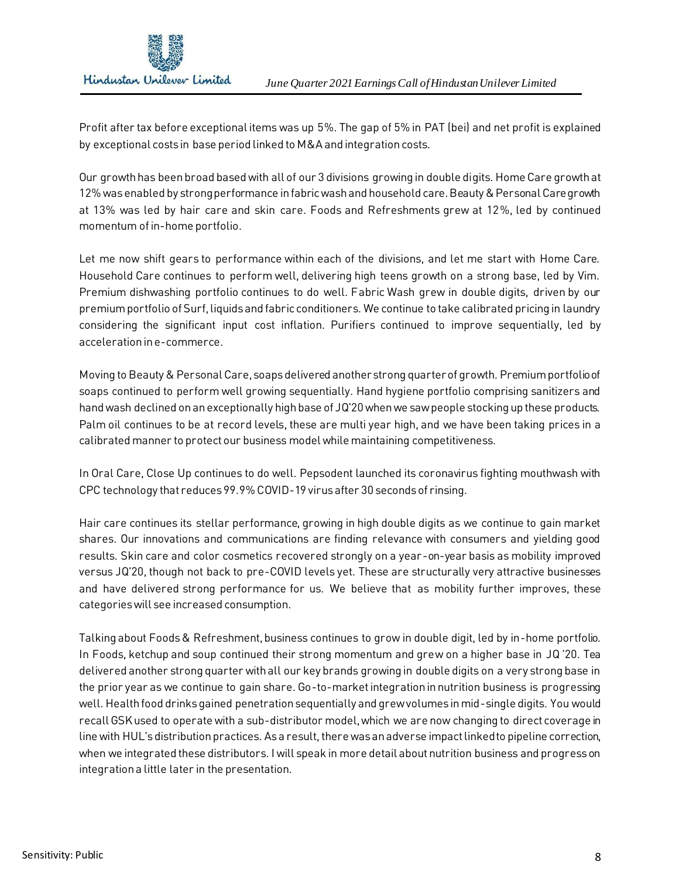

Profit after tax before exceptional items was up 5%. The gap of 5% in PAT (bei) and net profit is explained by exceptional costs in base period linked to M&A and integration costs.

Our growth has been broad based with all of our 3 divisions growing in double digits. Home Care growth at 12% was enabled by strong performance in fabric wash and household care. Beauty & Personal Care growth at 13% was led by hair care and skin care. Foods and Refreshments grew at 12%, led by continued momentum of in-home portfolio.

Let me now shift gears to performance within each of the divisions, and let me start with Home Care. Household Care continues to perform well, delivering high teens growth on a strong base, led by Vim. Premium dishwashing portfolio continues to do well. Fabric Wash grew in double digits, driven by our premium portfolio of Surf, liquids and fabric conditioners. We continue to take calibrated pricing in laundry considering the significant input cost inflation. Purifiers continued to improve sequentially, led by acceleration in e-commerce.

Moving to Beauty & Personal Care, soaps delivered another strong quarter of growth. Premium portfolio of soaps continued to perform well growing sequentially. Hand hygiene portfolio comprising sanitizers and hand wash declined on an exceptionally high base of JQ'20 when we saw people stocking up these products. Palm oil continues to be at record levels, these are multi year high, and we have been taking prices in a calibrated manner to protect our business model while maintaining competitiveness.

In Oral Care, Close Up continues to do well. Pepsodent launched its coronavirus fighting mouthwash with CPC technology that reduces 99.9% COVID-19 virus after 30 seconds of rinsing.

Hair care continues its stellar performance, growing in high double digits as we continue to gain market shares. Our innovations and communications are finding relevance with consumers and yielding good results. Skin care and color cosmetics recovered strongly on a year-on-year basis as mobility improved versus JQ'20, though not back to pre-COVID levels yet. These are structurally very attractive businesses and have delivered strong performance for us. We believe that as mobility further improves, these categories will see increased consumption.

Talking about Foods & Refreshment, business continues to grow in double digit, led by in-home portfolio. In Foods, ketchup and soup continued their strong momentum and grew on a higher base in JQ '20. Tea delivered another strong quarter with all our key brands growing in double digits on a very strong base in the prior year as we continue to gain share. Go-to-market integration in nutrition business is progressing well. Health food drinks gained penetration sequentially and grew volumes in mid-single digits. You would recall GSK used to operate with a sub-distributor model, which we are now changing to direct coverage in line with HUL's distribution practices. As a result, there was an adverse impact linked to pipeline correction, when we integrated these distributors. I will speak in more detail about nutrition business and progress on integration a little later in the presentation.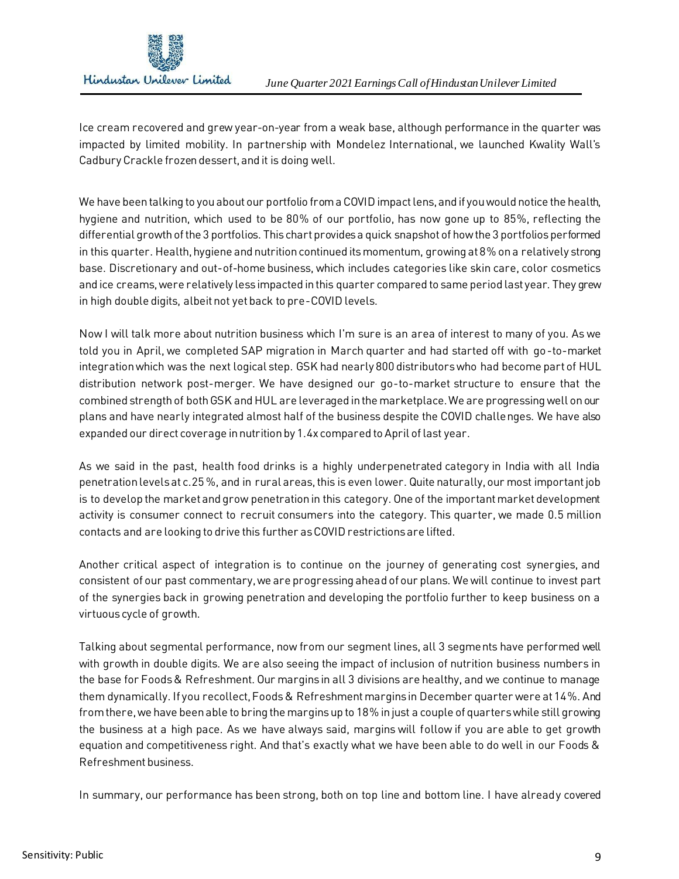

Ice cream recovered and grew year-on-year from a weak base, although performance in the quarter was impacted by limited mobility. In partnership with Mondelez International, we launched Kwality Wall's Cadbury Crackle frozen dessert, and it is doing well.

We have been talking to you about our portfolio from a COVID impact lens, and if you would notice the health, hygiene and nutrition, which used to be 80% of our portfolio, has now gone up to 85%, reflecting the differential growth of the 3 portfolios. This chart provides a quick snapshot of how the 3 portfolios performed in this quarter. Health, hygiene and nutrition continued its momentum, growing at 8% on a relatively strong base. Discretionary and out-of-home business, which includes categories like skin care, color cosmetics and ice creams, were relatively less impacted in this quarter compared to same period last year. They grew in high double digits, albeit not yet back to pre-COVID levels.

Now I will talk more about nutrition business which I'm sure is an area of interest to many of you. As we told you in April, we completed SAP migration in March quarter and had started off with go-to-market integration which was the next logical step. GSK had nearly 800 distributors who had become part of HUL distribution network post-merger. We have designed our go-to-market structure to ensure that the combined strength of both GSK and HUL are leveraged in the marketplace. We are progressing well on our plans and have nearly integrated almost half of the business despite the COVID challenges. We have also expanded our direct coverage in nutrition by 1.4x compared to April of last year.

As we said in the past, health food drinks is a highly underpenetrated category in India with all India penetration levels at c.25 %, and in rural areas,this is even lower. Quite naturally, our most important job is to develop the market and grow penetration in this category. One of the important market development activity is consumer connect to recruit consumers into the category. This quarter, we made 0.5 million contacts and are looking to drive this further as COVID restrictions are lifted.

Another critical aspect of integration is to continue on the journey of generating cost synergies, and consistent of our past commentary, we are progressing ahead of our plans. We will continue to invest part of the synergies back in growing penetration and developing the portfolio further to keep business on a virtuous cycle of growth.

Talking about segmental performance, now from our segment lines, all 3 segments have performed well with growth in double digits. We are also seeing the impact of inclusion of nutrition business numbers in the base for Foods & Refreshment. Our margins in all 3 divisions are healthy, and we continue to manage them dynamically. If you recollect, Foods & Refreshment margins in December quarter were at 14%. And from there, we have been able to bring the margins up to 18% in just a couple of quarters while still growing the business at a high pace. As we have always said, margins will follow if you are able to get growth equation and competitiveness right. And that's exactly what we have been able to do well in our Foods & Refreshment business.

In summary, our performance has been strong, both on top line and bottom line. I have already covered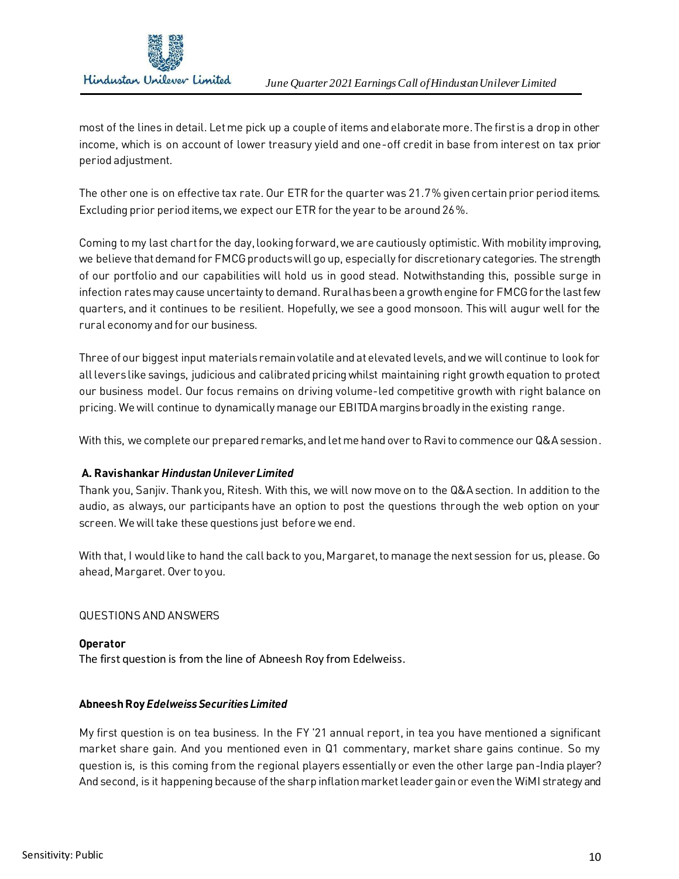

most of the lines in detail. Let me pick up a couple of items and elaborate more. The first is a drop in other income, which is on account of lower treasury yield and one-off credit in base from interest on tax prior period adjustment.

The other one is on effective tax rate. Our ETR for the quarter was 21.7% given certain prior period items. Excluding prior period items, we expect our ETR for the year to be around 26%.

Coming to my last chart for the day, looking forward, we are cautiously optimistic. With mobility improving, we believe that demand for FMCG productswill go up, especially for discretionary categories. The strength of our portfolio and our capabilities will hold us in good stead. Notwithstanding this, possible surge in infection rates may cause uncertainty to demand. Rural has been a growth engine for FMCG for the last few quarters, and it continues to be resilient. Hopefully, we see a good monsoon. This will augur well for the rural economy and for our business.

Three of our biggest input materials remain volatile and at elevated levels, and we will continue to look for all levers like savings, judicious and calibrated pricing whilst maintaining right growth equation to protect our business model. Our focus remains on driving volume-led competitive growth with right balance on pricing. We will continue to dynamically manage our EBITDA margins broadly in the existing range.

With this, we complete our prepared remarks, and let me hand over to Ravi to commence our Q&A session.

# **A. Ravishankar** *Hindustan Unilever Limited*

Thank you, Sanjiv. Thank you, Ritesh. With this, we will now move on to the Q&A section. In addition to the audio, as always, our participants have an option to post the questions through the web option on your screen. We will take these questions just before we end.

With that, I would like to hand the call back to you, Margaret, to manage the next session for us, please. Go ahead, Margaret. Over to you.

## QUESTIONS AND ANSWERS

## **Operator**

The first question is from the line of Abneesh Roy from Edelweiss.

## **Abneesh Roy** *Edelweiss Securities Limited*

My first question is on tea business. In the FY '21 annual report, in tea you have mentioned a significant market share gain. And you mentioned even in Q1 commentary, market share gains continue. So my question is, is this coming from the regional players essentially or even the other large pan-India player? And second, is it happening because of the sharp inflation market leader gain or even the WiMI strategy and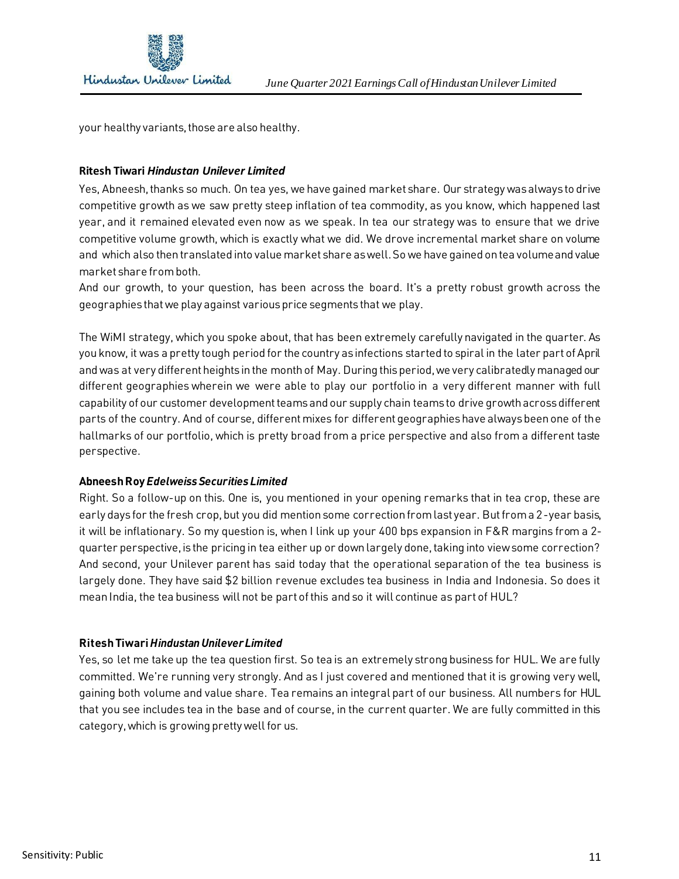

your healthy variants, those are also healthy.

## **Ritesh Tiwari** *Hindustan Unilever Limited*

Yes, Abneesh, thanks so much. On tea yes, we have gained market share. Our strategy was always to drive competitive growth as we saw pretty steep inflation of tea commodity, as you know, which happened last year, and it remained elevated even now as we speak. In tea our strategy was to ensure that we drive competitive volume growth, which is exactly what we did. We drove incremental market share on volume and which also then translated into value market share as well. So we have gained on tea volume and value market share from both.

And our growth, to your question, has been across the board. It's a pretty robust growth across the geographies that we play against various price segments that we play.

The WiMI strategy, which you spoke about, that has been extremely carefully navigated in the quarter. As you know, it was a pretty tough period for the country as infections started to spiral in the later part of April and was at very different heights in the month of May. During this period, we very calibratedly managed our different geographies wherein we were able to play our portfolio in a very different manner with full capability of our customer development teams and our supply chain teams to drive growth across different parts of the country. And of course, different mixes for different geographies have always been one of the hallmarks of our portfolio, which is pretty broad from a price perspective and also from a different taste perspective.

## **Abneesh Roy** *Edelweiss Securities Limited*

Right. So a follow-up on this. One is, you mentioned in your opening remarks that in tea crop, these are early days for the fresh crop, but you did mention some correction from last year. But from a 2-year basis, it will be inflationary. So my question is, when I link up your 400 bps expansion in F&R margins from a 2 quarter perspective, is the pricing in tea either up or down largely done, taking into view some correction? And second, your Unilever parent has said today that the operational separation of the tea business is largely done. They have said \$2 billion revenue excludes tea business in India and Indonesia. So does it mean India, the tea business will not be part of this and so it will continue as part of HUL?

## **Ritesh Tiwari** *Hindustan Unilever Limited*

Yes, so let me take up the tea question first. So tea is an extremely strong business for HUL. We are fully committed. We're running very strongly. And as I just covered and mentioned that it is growing very well, gaining both volume and value share. Tea remains an integral part of our business. All numbers for HUL that you see includes tea in the base and of course, in the current quarter. We are fully committed in this category, which is growing pretty well for us.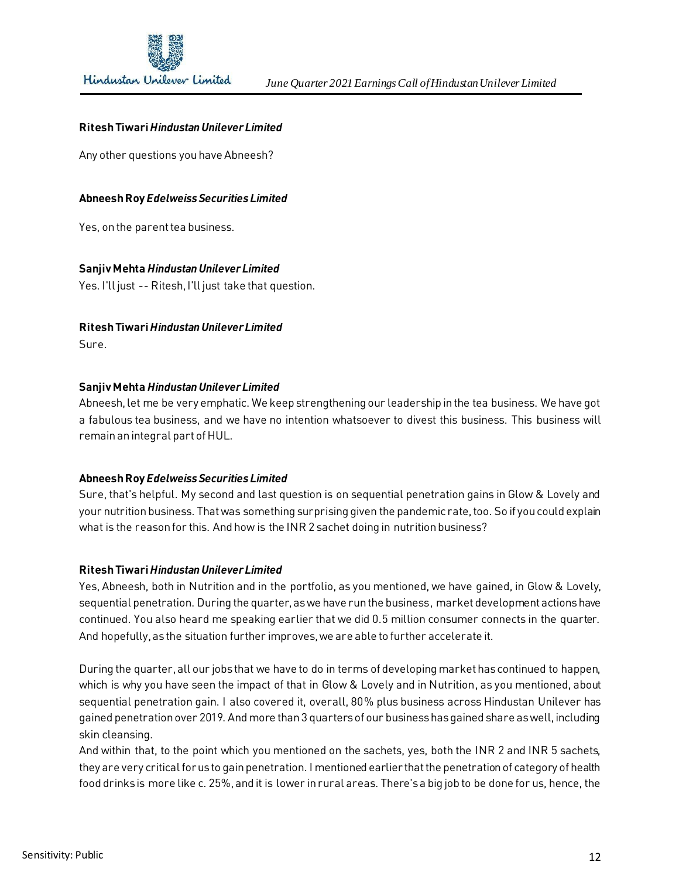

## **Ritesh Tiwari** *Hindustan Unilever Limited*

Any other questions you have Abneesh?

#### **Abneesh Roy** *Edelweiss Securities Limited*

Yes, on the parent tea business.

#### **Sanjiv Mehta** *Hindustan Unilever Limited*

Yes. I'll just -- Ritesh, I'll just take that question.

# **Ritesh Tiwari** *Hindustan Unilever Limited*

Sure.

#### **Sanjiv Mehta** *Hindustan Unilever Limited*

Abneesh, let me be very emphatic. We keep strengthening our leadership in the tea business. We have got a fabulous tea business, and we have no intention whatsoever to divest this business. This business will remain an integral part of HUL.

## **Abneesh Roy** *Edelweiss Securities Limited*

Sure, that's helpful. My second and last question is on sequential penetration gains in Glow & Lovely and your nutrition business. That was something surprising given the pandemic rate, too. So if you could explain what is the reason for this. And how is the INR 2 sachet doing in nutrition business?

#### **Ritesh Tiwari** *Hindustan Unilever Limited*

Yes, Abneesh, both in Nutrition and in the portfolio, as you mentioned, we have gained, in Glow & Lovely, sequential penetration. During the quarter, as we have run the business, market development actions have continued. You also heard me speaking earlier that we did 0.5 million consumer connects in the quarter. And hopefully, as the situation further improves, we are able to further accelerate it.

During the quarter, all our jobs that we have to do in terms of developing market has continued to happen, which is why you have seen the impact of that in Glow & Lovely and in Nutrition, as you mentioned, about sequential penetration gain. I also covered it, overall, 80% plus business across Hindustan Unilever has gained penetration over 2019. And more than 3 quarters of our business has gained share as well, including skin cleansing.

And within that, to the point which you mentioned on the sachets, yes, both the INR 2 and INR 5 sachets, they are very critical for us to gain penetration. I mentioned earlier that the penetration of category of health food drinks is more like c. 25%, and it is lower in rural areas. There's a big job to be done for us, hence, the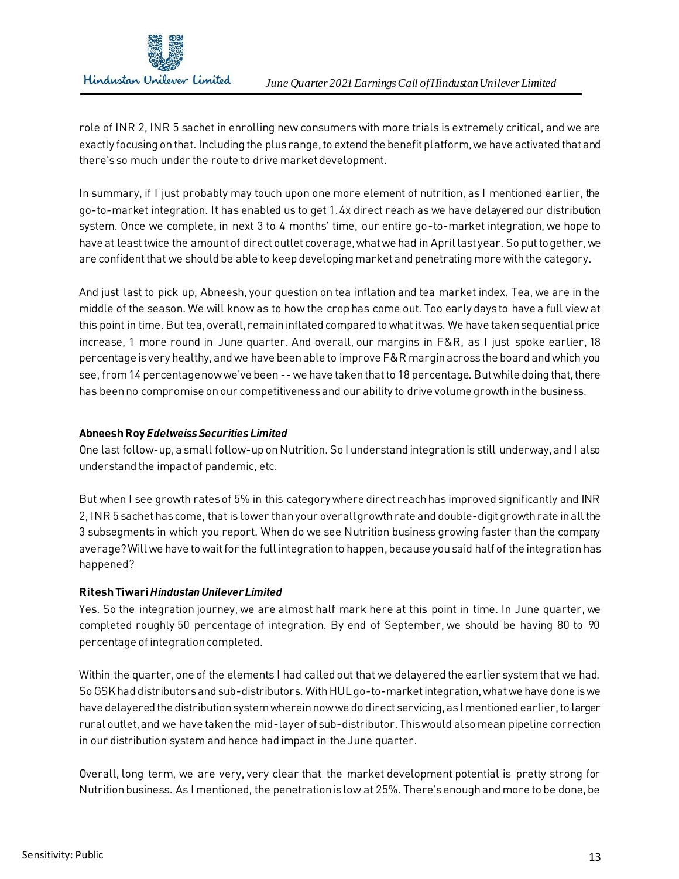

role of INR 2, INR 5 sachet in enrolling new consumers with more trials is extremely critical, and we are exactly focusing on that. Including the plus range, to extend the benefit platform, we have activated that and there's so much under the route to drive market development.

In summary, if I just probably may touch upon one more element of nutrition, as I mentioned earlier, the go-to-market integration. It has enabled us to get 1.4x direct reach as we have delayered our distribution system. Once we complete, in next 3 to 4 months' time, our entire go-to-market integration, we hope to have at least twice the amount of direct outlet coverage, what we had in April last year. So put together, we are confident that we should be able to keep developing market and penetrating more with the category.

And just last to pick up, Abneesh, your question on tea inflation and tea market index. Tea, we are in the middle of the season. We will know as to how the crop has come out. Too early days to have a full view at this point in time. But tea, overall, remain inflated compared to what it was. We have taken sequential price increase, 1 more round in June quarter. And overall, our margins in F&R, as I just spoke earlier, 18 percentage is very healthy, and we have been able to improve F&R margin across the board and which you see, from 14 percentage now we've been -- we have taken that to 18 percentage. But while doing that, there has been no compromise on our competitiveness and our ability to drive volume growth in the business.

# **Abneesh Roy** *Edelweiss Securities Limited*

One last follow-up, a small follow-up on Nutrition. So I understand integration is still underway, and I also understand the impact of pandemic, etc.

But when I see growth rates of 5% in this category where direct reach has improved significantly and INR 2, INR 5 sachet has come, that is lower than your overall growth rate and double-digit growth rate in all the 3 subsegments in which you report. When do we see Nutrition business growing faster than the company average? Will we have to wait for the full integration to happen, because you said half of the integration has happened?

# **Ritesh Tiwari** *Hindustan Unilever Limited*

Yes. So the integration journey, we are almost half mark here at this point in time. In June quarter, we completed roughly 50 percentage of integration. By end of September, we should be having 80 to 90 percentage of integration completed.

Within the quarter, one of the elements I had called out that we delayered the earlier system that we had. So GSK had distributors and sub-distributors. With HUL go-to-market integration, what we have done is we have delayered the distribution system wherein now we do direct servicing, as I mentioned earlier, to larger rural outlet, and we have taken the mid-layer of sub-distributor. This would also mean pipeline correction in our distribution system and hence had impact in the June quarter.

Overall, long term, we are very, very clear that the market development potential is pretty strong for Nutrition business. As I mentioned, the penetration is low at 25%. There's enough and more to be done, be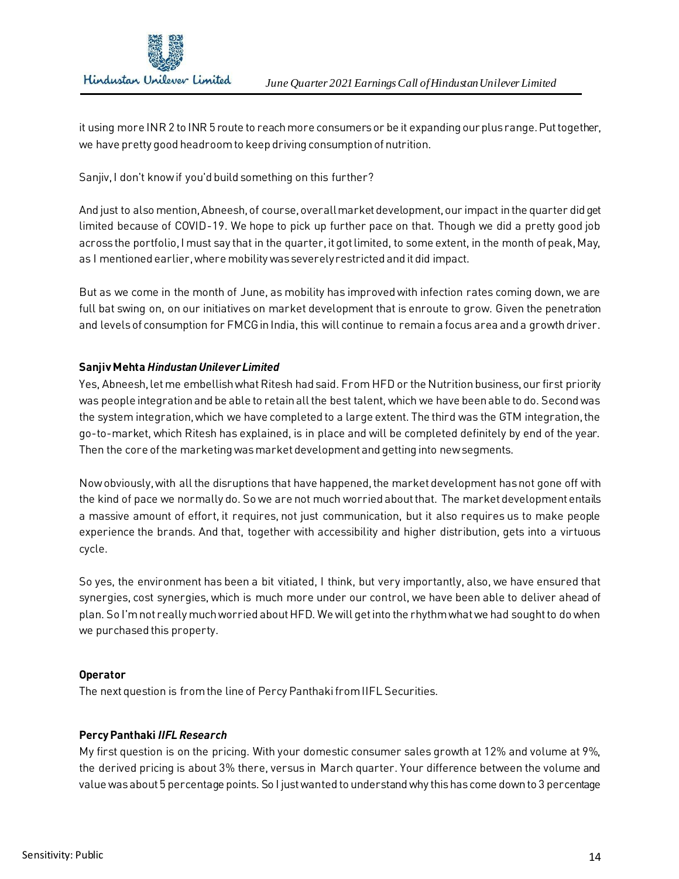

it using more INR 2 to INR 5 route to reach more consumers or be it expanding ourplus range. Put together, we have pretty good headroom to keep driving consumption of nutrition.

Sanjiv, I don't know if you'd build something on this further?

And just to also mention, Abneesh, of course, overall market development, our impact in the quarter did get limited because of COVID-19. We hope to pick up further pace on that. Though we did a pretty good job across the portfolio, I must say that in the quarter, it got limited, to some extent, in the month of peak, May, as I mentioned earlier, where mobility was severely restricted and it did impact.

But as we come in the month of June, as mobility has improved with infection rates coming down, we are full bat swing on, on our initiatives on market development that is enroute to grow. Given the penetration and levels of consumption for FMCG in India, this will continue to remain a focus area and a growth driver.

# **Sanjiv Mehta** *Hindustan Unilever Limited*

Yes, Abneesh, let me embellish what Ritesh had said. From HFD or the Nutrition business, our first priority was people integration and be able to retain all the best talent, which we have been able to do. Second was the system integration, which we have completed to a large extent. The third was the GTM integration, the go-to-market, which Ritesh has explained, is in place and will be completed definitely by end of the year. Then the core of the marketing was market development and getting into new segments.

Now obviously, with all the disruptions that have happened, the market development has not gone off with the kind of pace we normally do. So we are not much worried about that. The market development entails a massive amount of effort, it requires, not just communication, but it also requires us to make people experience the brands. And that, together with accessibility and higher distribution, gets into a virtuous cycle.

So yes, the environment has been a bit vitiated, I think, but very importantly, also, we have ensured that synergies, cost synergies, which is much more under our control, we have been able to deliver ahead of plan. So I'm not really much worried about HFD. We will get into the rhythm what we had sought to do when we purchased this property.

## **Operator**

The next question is from the line of Percy Panthaki from IIFL Securities.

# **Percy Panthaki** *IIFL Research*

My first question is on the pricing. With your domestic consumer sales growth at 12% and volume at 9%, the derived pricing is about 3% there, versus in March quarter. Your difference between the volume and value was about 5 percentage points. So I just wanted to understand why this has come down to 3 percentage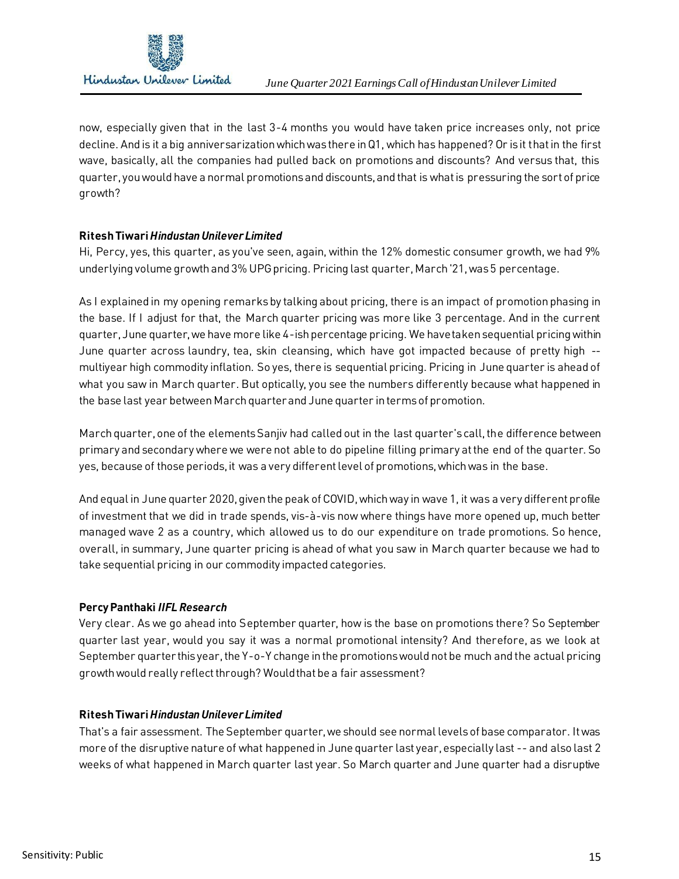

now, especially given that in the last 3-4 months you would have taken price increases only, not price decline. And is it a big anniversarization which was there in Q1, which has happened? Or is it that in the first wave, basically, all the companies had pulled back on promotions and discounts? And versus that, this quarter, you would have a normal promotions and discounts, and that is what is pressuring the sort of price growth?

# **Ritesh Tiwari** *Hindustan Unilever Limited*

Hi, Percy, yes, this quarter, as you've seen, again, within the 12% domestic consumer growth, we had 9% underlying volume growth and 3% UPG pricing. Pricing last quarter, March '21, was 5 percentage.

As I explained in my opening remarks by talking about pricing, there is an impact of promotion phasing in the base. If I adjust for that, the March quarter pricing was more like 3 percentage. And in the current quarter, June quarter, we have more like 4-ish percentage pricing. We have taken sequential pricing within June quarter across laundry, tea, skin cleansing, which have got impacted because of pretty high - multiyear high commodity inflation. So yes, there is sequential pricing. Pricing in June quarter is ahead of what you saw in March quarter. But optically, you see the numbers differently because what happened in the base last year between March quarter and June quarter in terms of promotion.

March quarter, one of the elements Sanjiv had called out in the last quarter's call, the difference between primary and secondary where we were not able to do pipeline filling primary at the end of the quarter. So yes, because of those periods, it was a very different level of promotions, which was in the base.

And equal in June quarter 2020, given the peak of COVID, which way in wave 1, it was a very different profile of investment that we did in trade spends, vis-à-vis now where things have more opened up, much better managed wave 2 as a country, which allowed us to do our expenditure on trade promotions. So hence, overall, in summary, June quarter pricing is ahead of what you saw in March quarter because we had to take sequential pricing in our commodity impacted categories.

# **Percy Panthaki** *IIFL Research*

Very clear. As we go ahead into September quarter, how is the base on promotions there? So September quarter last year, would you say it was a normal promotional intensity? And therefore, as we look at September quarter this year, the Y-o-Y change in the promotions would not be much and the actual pricing growth would really reflect through? Would that be a fair assessment?

# **Ritesh Tiwari** *Hindustan Unilever Limited*

That's a fair assessment. The September quarter, we should see normal levels of base comparator. It was more of the disruptive nature of what happened in June quarter last year, especially last -- and also last 2 weeks of what happened in March quarter last year. So March quarter and June quarter had a disruptive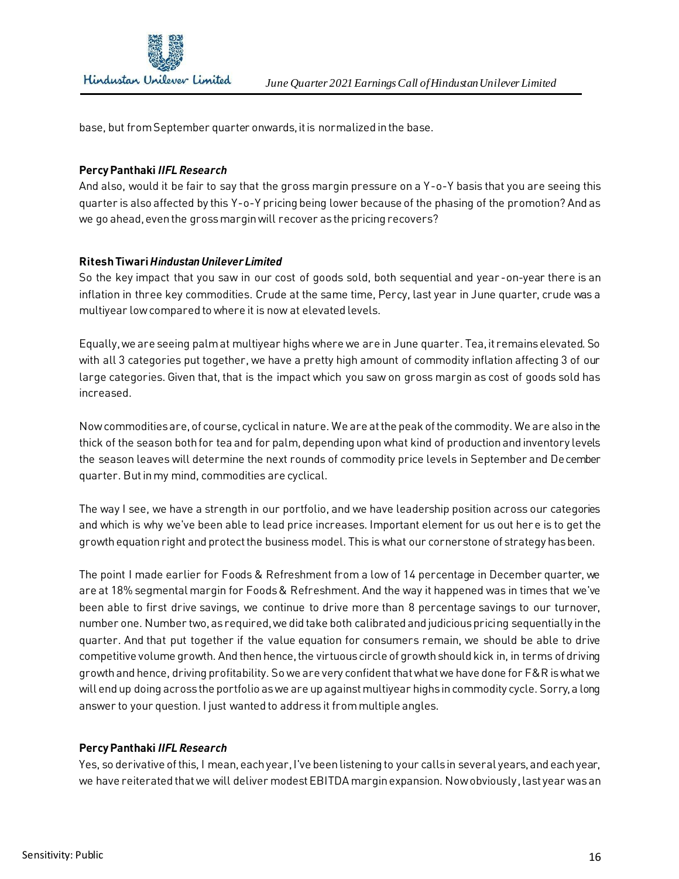

base, but from September quarter onwards, it is normalized in the base.

#### **Percy Panthaki** *IIFL Research*

And also, would it be fair to say that the gross margin pressure on a Y-o-Y basis that you are seeing this quarter is also affected by this Y-o-Y pricing being lower because of the phasing of the promotion? And as we go ahead, even the gross margin will recover as the pricing recovers?

#### **Ritesh Tiwari** *Hindustan Unilever Limited*

So the key impact that you saw in our cost of goods sold, both sequential and year -on-year there is an inflation in three key commodities. Crude at the same time, Percy, last year in June quarter, crude was a multiyear low compared to where it is now at elevated levels.

Equally, we are seeing palm at multiyear highs where we are in June quarter. Tea, it remains elevated. So with all 3 categories put together, we have a pretty high amount of commodity inflation affecting 3 of our large categories. Given that, that is the impact which you saw on gross margin as cost of goods sold has increased.

Now commodities are, of course, cyclical in nature. We are at the peak of the commodity. We are also in the thick of the season both for tea and for palm, depending upon what kind of production and inventory levels the season leaves will determine the next rounds of commodity price levels in September and December quarter. But in my mind, commodities are cyclical.

The way I see, we have a strength in our portfolio, and we have leadership position across our categories and which is why we've been able to lead price increases. Important element for us out here is to get the growth equation right and protect the business model. This is what our cornerstone of strategy has been.

The point I made earlier for Foods & Refreshment from a low of 14 percentage in December quarter, we are at 18% segmental margin for Foods & Refreshment. And the way it happened was in times that we've been able to first drive savings, we continue to drive more than 8 percentage savings to our turnover, number one. Number two, as required, we did take both calibrated and judicious pricing sequentially in the quarter. And that put together if the value equation for consumers remain, we should be able to drive competitive volume growth. And then hence, the virtuous circle of growth should kick in, in terms of driving growth and hence, driving profitability. So we are very confident that what we have done for F&R is what we will end up doing across the portfolio as we are up against multiyear highs in commodity cycle. Sorry, a long answer to your question. I just wanted to address it from multiple angles.

## **Percy Panthaki** *IIFL Research*

Yes, so derivative of this, I mean, each year, I've been listening to your calls in several years, and each year, we have reiterated that we will deliver modest EBITDA margin expansion. Now obviously, last year was an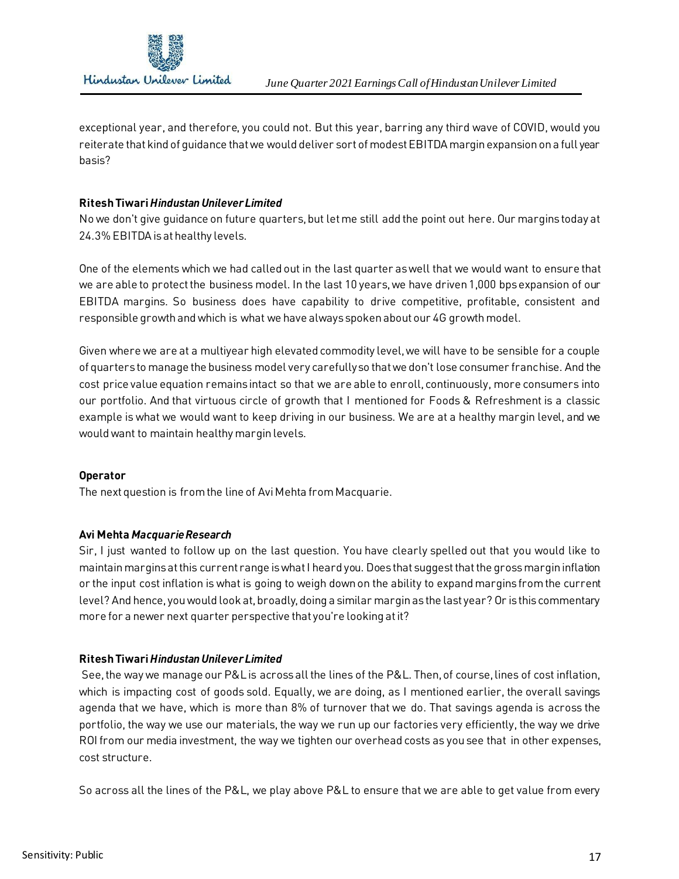

exceptional year, and therefore, you could not. But this year, barring any third wave of COVID, would you reiterate that kind of guidance that we would deliver sort of modest EBITDA margin expansion on a full year basis?

## **Ritesh Tiwari** *Hindustan Unilever Limited*

No we don't give guidance on future quarters, but let me still add the point out here. Our margins today at 24.3% EBITDA is at healthy levels.

One of the elements which we had called out in the last quarter as well that we would want to ensure that we are able to protect the business model. In the last 10 years, we have driven 1,000 bpsexpansion of our EBITDA margins. So business does have capability to drive competitive, profitable, consistent and responsible growth and which is what we have always spoken about our 4G growth model.

Given where we are at a multiyear high elevated commodity level, we will have to be sensible for a couple of quarters to manage the business model very carefully so that we don't lose consumer franchise. And the cost price value equation remains intact so that we are able to enroll, continuously, more consumers into our portfolio. And that virtuous circle of growth that I mentioned for Foods & Refreshment is a classic example is what we would want to keep driving in our business. We are at a healthy margin level, and we would want to maintain healthy margin levels.

# **Operator**

The next question is from the line of Avi Mehta from Macquarie.

# **Avi Mehta** *Macquarie Research*

Sir, I just wanted to follow up on the last question. You have clearly spelled out that you would like to maintain margins at this current range is what I heard you. Does that suggest that the gross margin inflation or the input cost inflation is what is going to weigh down on the ability to expand margins from the current level? And hence, you would look at, broadly, doing a similar margin as the last year? Or is this commentary more for a newer next quarter perspective that you're looking at it?

# **Ritesh Tiwari** *Hindustan Unilever Limited*

See, the way we manage our P&L is across all the lines of the P&L. Then, of course, lines of cost inflation, which is impacting cost of goods sold. Equally, we are doing, as I mentioned earlier, the overall savings agenda that we have, which is more than 8% of turnover that we do. That savings agenda is across the portfolio, the way we use our materials, the way we run up our factories very efficiently, the way we drive ROI from our media investment, the way we tighten our overhead costs as you see that in other expenses, cost structure.

So across all the lines of the P&L, we play above P&L to ensure that we are able to get value from every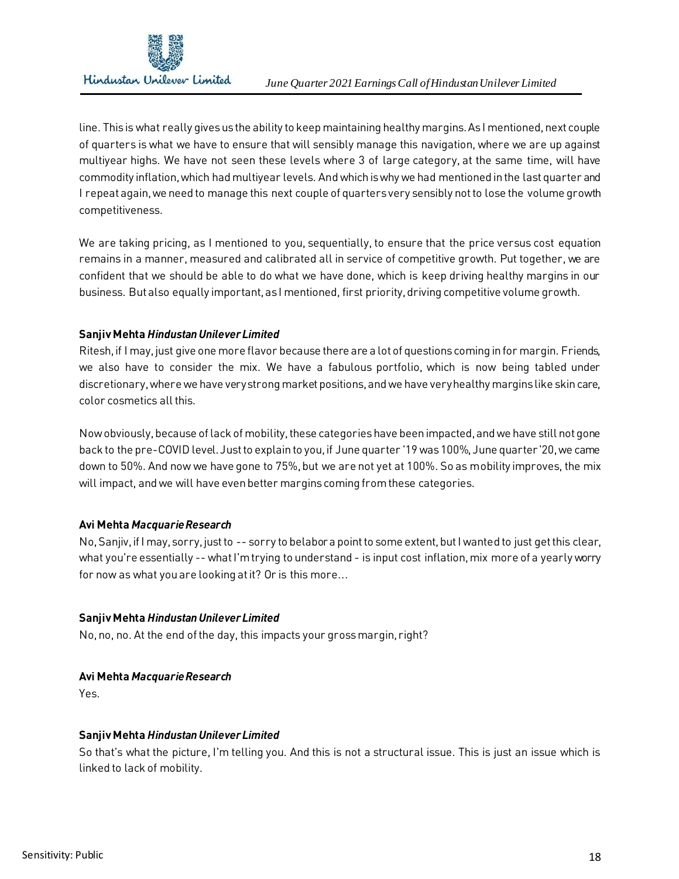

line. This is what really gives us the ability to keep maintaining healthy margins. As I mentioned, next couple of quarters is what we have to ensure that will sensibly manage this navigation, where we are up against multiyear highs. We have not seen these levels where 3 of large category, at the same time, will have commodity inflation, which had multiyear levels. And which is why we had mentioned in the last quarter and I repeat again, we need to manage this next couple of quarters very sensibly not to lose the volume growth competitiveness.

We are taking pricing, as I mentioned to you, sequentially, to ensure that the price versus cost equation remains in a manner, measured and calibrated all in service of competitive growth. Put together, we are confident that we should be able to do what we have done, which is keep driving healthy margins in our business. But also equally important, as I mentioned, first priority, driving competitive volume growth.

# **Sanjiv Mehta** *Hindustan Unilever Limited*

Ritesh, if I may, just give one more flavor because there are a lot of questions coming in for margin. Friends, we also have to consider the mix. We have a fabulous portfolio, which is now being tabled under discretionary, where we have very strong market positions, and we have very healthy margins like skin care, color cosmetics all this.

Now obviously, because of lack of mobility, these categories have been impacted, and we have still not gone back to the pre-COVID level. Just to explain to you, if June quarter '19 was 100%, June quarter '20, we came down to 50%. And now we have gone to 75%, but we are not yet at 100%. So as mobility improves, the mix will impact, and we will have even better margins coming from these categories.

# **Avi Mehta** *Macquarie Research*

No, Sanjiv, if I may, sorry, just to -- sorry to belabor a point to some extent, but I wanted to just get this clear, what you're essentially -- what I'm trying to understand - is input cost inflation, mix more of a yearly worry for now as what you are looking at it? Or is this more...

# **Sanjiv Mehta** *Hindustan Unilever Limited*

No, no, no. At the end of the day, this impacts your gross margin, right?

# **Avi Mehta** *Macquarie Research*

Yes.

# **Sanjiv Mehta** *Hindustan Unilever Limited*

So that's what the picture, I'm telling you. And this is not a structural issue. This is just an issue which is linked to lack of mobility.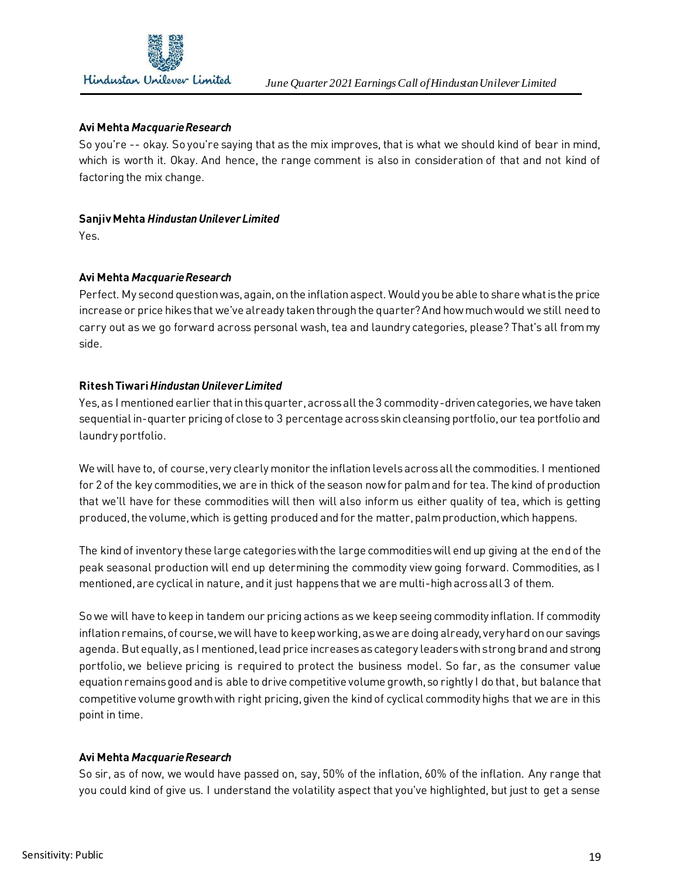

## **Avi Mehta** *Macquarie Research*

So you're -- okay. So you're saying that as the mix improves, that is what we should kind of bear in mind, which is worth it. Okay. And hence, the range comment is also in consideration of that and not kind of factoring the mix change.

## **Sanjiv Mehta** *Hindustan Unilever Limited*

Yes.

## **Avi Mehta** *Macquarie Research*

Perfect. My second question was, again, on the inflation aspect. Would you be able to share what is the price increase or price hikes that we've already taken through the quarter? And how much would we still need to carry out as we go forward across personal wash, tea and laundry categories, please? That's all from my side.

## **Ritesh Tiwari** *Hindustan Unilever Limited*

Yes, as I mentioned earlier that in this quarter, across all the 3 commodity-driven categories, we have taken sequential in-quarter pricing of close to 3 percentage across skin cleansing portfolio, our tea portfolio and laundry portfolio.

We will have to, of course, very clearly monitor the inflation levels across all the commodities. I mentioned for 2 of the key commodities, we are in thick of the season now for palm and for tea. The kind of production that we'll have for these commodities will then will also inform us either quality of tea, which is getting produced, the volume, which is getting produced and for the matter, palm production, which happens.

The kind of inventory these large categories with the large commodities will end up giving at the end of the peak seasonal production will end up determining the commodity view going forward. Commodities, as I mentioned, are cyclical in nature, and it just happens that we are multi-high across all 3 of them.

So we will have to keep in tandem our pricing actions as we keep seeing commodity inflation. If commodity inflation remains, of course, we will have to keep working, as we are doing already, very hard on our savings agenda. But equally, as I mentioned, lead price increases as category leaders with strong brand and strong portfolio, we believe pricing is required to protect the business model. So far, as the consumer value equation remains good and is able to drive competitive volume growth, so rightly I do that, but balance that competitive volume growth with right pricing, given the kind of cyclical commodity highs that we are in this point in time.

# **Avi Mehta** *Macquarie Research*

So sir, as of now, we would have passed on, say, 50% of the inflation, 60% of the inflation. Any range that you could kind of give us. I understand the volatility aspect that you've highlighted, but just to get a sense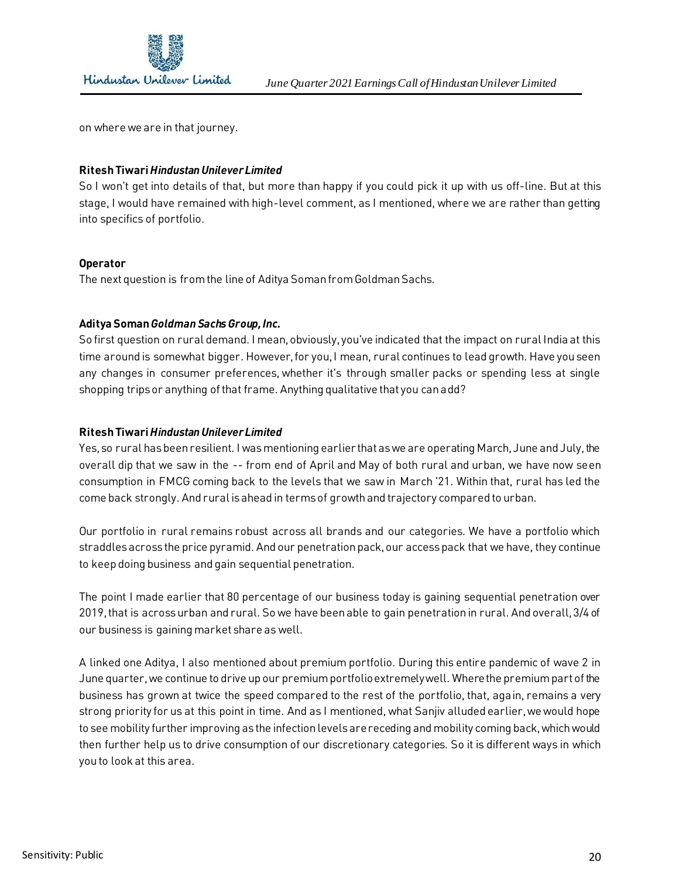

on where we are in that journey.

## **Ritesh Tiwari** *Hindustan Unilever Limited*

So I won't get into details of that, but more than happy if you could pick it up with us off-line. But at this stage, I would have remained with high-level comment, as I mentioned, where we are rather than getting into specifics of portfolio.

## **Operator**

The next question is from the line of Aditya Soman from Goldman Sachs.

## **Aditya Soman** *Goldman Sachs Group, Inc.*

So first question on rural demand. I mean, obviously, you've indicated that the impact on rural India at this time around is somewhat bigger. However, for you, I mean, rural continues to lead growth. Have you seen any changes in consumer preferences, whether it's through smaller packs or spending less at single shopping trips or anything of that frame. Anything qualitative that you can add?

## **Ritesh Tiwari** *Hindustan Unilever Limited*

Yes, so rural has been resilient. I was mentioning earlier that as we are operating March, June and July, the overall dip that we saw in the -- from end of April and May of both rural and urban, we have now seen consumption in FMCG coming back to the levels that we saw in March '21. Within that, rural has led the come back strongly. And rural is ahead in terms of growth and trajectory compared to urban.

Our portfolio in rural remains robust across all brands and our categories. We have a portfolio which straddles across the price pyramid. And our penetration pack, our accesspack that we have, they continue to keep doing business and gain sequential penetration.

The point I made earlier that 80 percentage of our business today is gaining sequential penetration over 2019, that is across urban and rural. So we have been able to gain penetration in rural. And overall, 3/4 of our business is gaining market share as well.

A linked one Aditya, I also mentioned about premium portfolio. During this entire pandemic of wave 2 in June quarter, we continue to drive up our premium portfolio extremely well. Where the premium part of the business has grown at twice the speed compared to the rest of the portfolio, that, again, remains a very strong priority for us at this point in time. And as I mentioned, what Sanjiv alluded earlier, we would hope to see mobility further improving as the infection levels are receding and mobility coming back, which would then further help us to drive consumption of our discretionary categories. So it is different ways in which you to look at this area.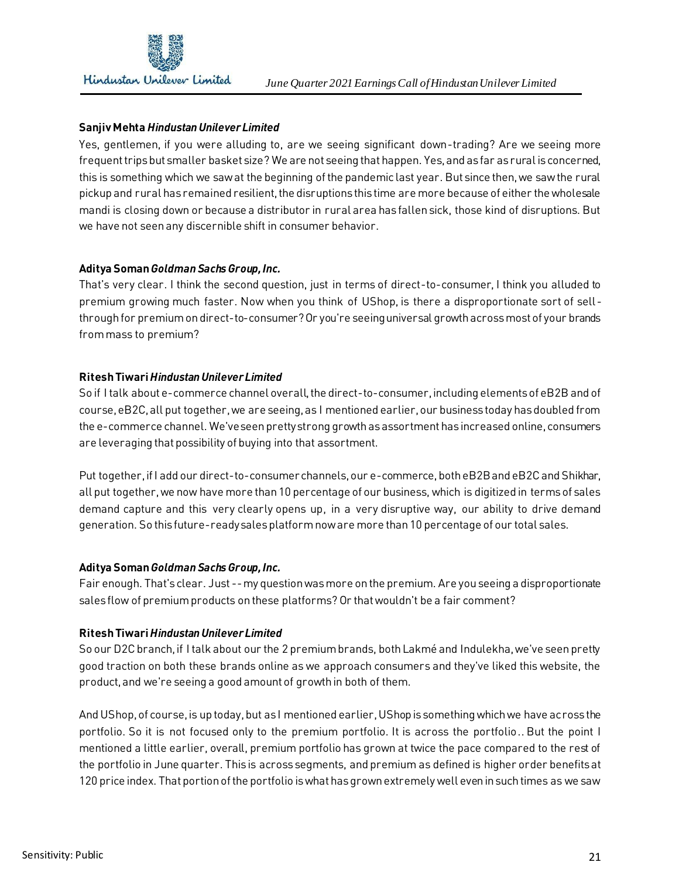

# **Sanjiv Mehta** *Hindustan Unilever Limited*

Yes, gentlemen, if you were alluding to, are we seeing significant down-trading? Are we seeing more frequent trips but smaller basket size? We are not seeing that happen. Yes, and as far as rural is concerned, this is something which we saw at the beginning of the pandemic last year. But since then, we saw the rural pickup and rural has remained resilient, the disruptions this time are more because of either the wholesale mandi is closing down or because a distributor in rural area has fallen sick, those kind of disruptions. But we have not seen any discernible shift in consumer behavior.

# **Aditya Soman** *Goldman Sachs Group, Inc.*

That's very clear. I think the second question, just in terms of direct-to-consumer, I think you alluded to premium growing much faster. Now when you think of UShop, is there a disproportionate sort of sellthrough for premium on direct-to-consumer? Or you're seeing universal growth across most of your brands from mass to premium?

# **Ritesh Tiwari** *Hindustan Unilever Limited*

So if I talk about e-commerce channel overall, the direct-to-consumer, including elements of eB2B and of course, eB2C, all put together, we are seeing, as I mentioned earlier, our business today has doubled from the e-commerce channel. We've seen pretty strong growth as assortment has increased online, consumers are leveraging that possibility of buying into that assortment.

Put together, if I add our direct-to-consumer channels, our e-commerce, both eB2B and eB2C and Shikhar, all put together, we now have more than 10 percentage of our business, which is digitized in terms of sales demand capture and this very clearly opens up, in a very disruptive way, our ability to drive demand generation. So this future-ready sales platform now are more than 10 percentage of our total sales.

# **Aditya Soman** *Goldman Sachs Group, Inc.*

Fair enough. That's clear. Just --my question was more on the premium. Are you seeing a disproportionate sales flow of premium products on these platforms? Or that wouldn't be a fair comment?

# **Ritesh Tiwari** *Hindustan Unilever Limited*

So our D2C branch, if I talk about our the 2 premium brands, both Lakmé and Indulekha, we've seen pretty good traction on both these brands online as we approach consumers and they've liked this website, the product, and we're seeing a good amount of growth in both of them.

And UShop, of course, is up today, but as I mentioned earlier, UShop is something which we have across the portfolio. So it is not focused only to the premium portfolio. It is across the portfolio.. But the point I mentioned a little earlier, overall, premium portfolio has grown at twice the pace compared to the rest of the portfolio in June quarter. This is across segments, and premium as defined is higher order benefits at 120 price index. That portion of the portfolio is what has grown extremely well even in such times as we saw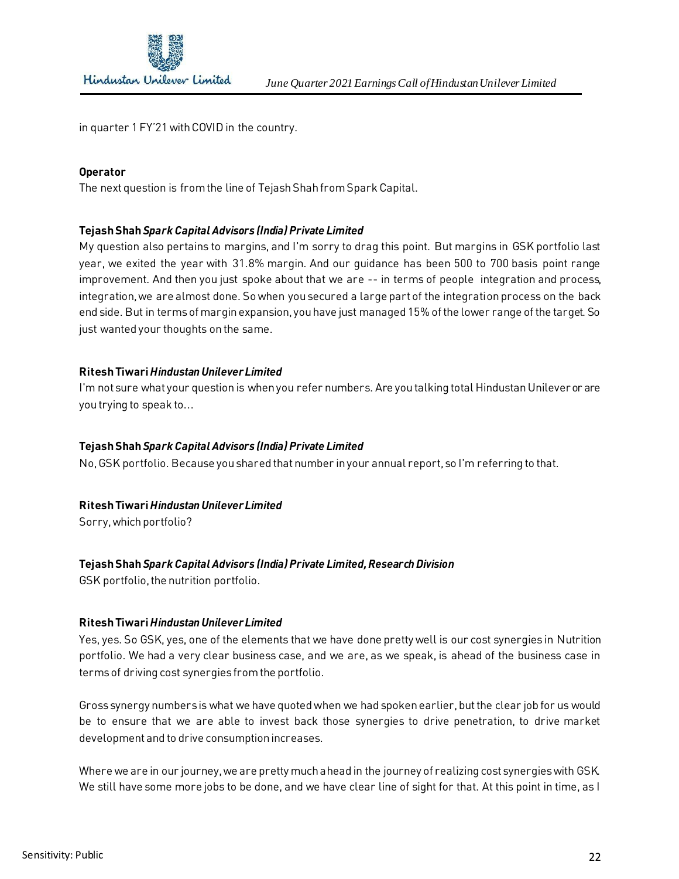

in quarter 1 FY'21 with COVID in the country.

#### **Operator**

The next question is from the line of Tejash Shah from Spark Capital.

#### **Tejash Shah** *Spark Capital Advisors (India) Private Limited*

My question also pertains to margins, and I'm sorry to drag this point. But margins in GSK portfolio last year, we exited the year with 31.8% margin. And our guidance has been 500 to 700 basis point range improvement. And then you just spoke about that we are -- in terms of people integration and process, integration, we are almost done. So when you secured a large part of the integration process on the back end side. But in terms of margin expansion, you have just managed 15% of the lower range of the target. So just wanted your thoughts on the same.

#### **Ritesh Tiwari** *Hindustan Unilever Limited*

I'm not sure what your question is when you refer numbers. Are you talking total Hindustan Unilever or are you trying to speak to...

#### **Tejash Shah** *Spark Capital Advisors (India) Private Limited*

No, GSK portfolio. Because you shared that number in your annual report, so I'm referring to that.

## **Ritesh Tiwari** *Hindustan Unilever Limited*

Sorry, which portfolio?

## **Tejash Shah** *Spark Capital Advisors (India) Private Limited, Research Division*

GSK portfolio, the nutrition portfolio.

#### **Ritesh Tiwari** *Hindustan Unilever Limited*

Yes, yes. So GSK, yes, one of the elements that we have done pretty well is our cost synergies in Nutrition portfolio. We had a very clear business case, and we are, as we speak, is ahead of the business case in terms of driving cost synergies from the portfolio.

Gross synergy numbers is what we have quoted when we had spoken earlier, but the clear job for us would be to ensure that we are able to invest back those synergies to drive penetration, to drive market development and to drive consumption increases.

Where we are in our journey, we are pretty much ahead in the journey of realizing cost synergies with GSK. We still have some more jobs to be done, and we have clear line of sight for that. At this point in time, as I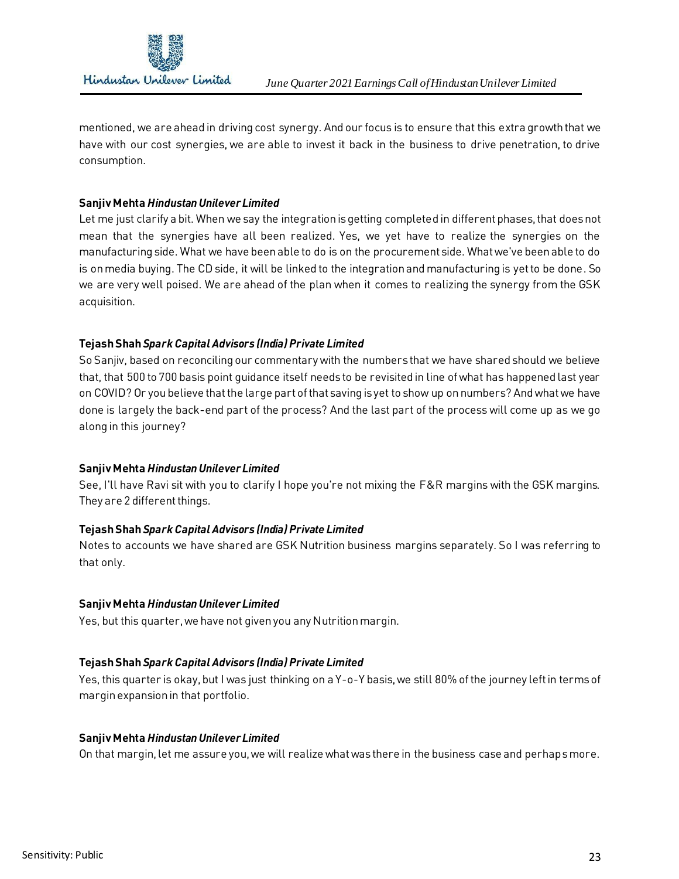

mentioned, we are ahead in driving cost synergy. And our focus is to ensure that this extra growth that we have with our cost synergies, we are able to invest it back in the business to drive penetration, to drive consumption.

## **Sanjiv Mehta** *Hindustan Unilever Limited*

Let me just clarify a bit. When we say the integration is getting completed in different phases, that does not mean that the synergies have all been realized. Yes, we yet have to realize the synergies on the manufacturing side. What we have been able to do is on the procurement side. What we've been able to do is on media buying. The CD side, it will be linked to the integration and manufacturing is yet to be done. So we are very well poised. We are ahead of the plan when it comes to realizing the synergy from the GSK acquisition.

# **Tejash Shah** *Spark Capital Advisors (India) Private Limited*

So Sanjiv, based on reconciling our commentary with the numbers that we have shared should we believe that, that 500 to 700 basis point guidance itself needs to be revisited in line of what has happened last year on COVID? Or you believe that the large part of that saving is yet to show up on numbers? And what we have done is largely the back-end part of the process? And the last part of the process will come up as we go along in this journey?

# **Sanjiv Mehta** *Hindustan Unilever Limited*

See, I'll have Ravi sit with you to clarify I hope you're not mixing the F&R margins with the GSK margins. They are 2 different things.

# **Tejash Shah** *Spark Capital Advisors (India) Private Limited*

Notes to accounts we have shared are GSK Nutrition business margins separately. So I was referring to that only.

# **Sanjiv Mehta** *Hindustan Unilever Limited*

Yes, but this quarter, we have not given you any Nutrition margin.

# **Tejash Shah** *Spark Capital Advisors (India) Private Limited*

Yes, this quarter is okay, but I was just thinking on a Y-o-Y basis, we still 80% of the journey left in terms of margin expansion in that portfolio.

## **Sanjiv Mehta** *Hindustan Unilever Limited*

On that margin, let me assure you, we will realize what was there in the business case and perhaps more.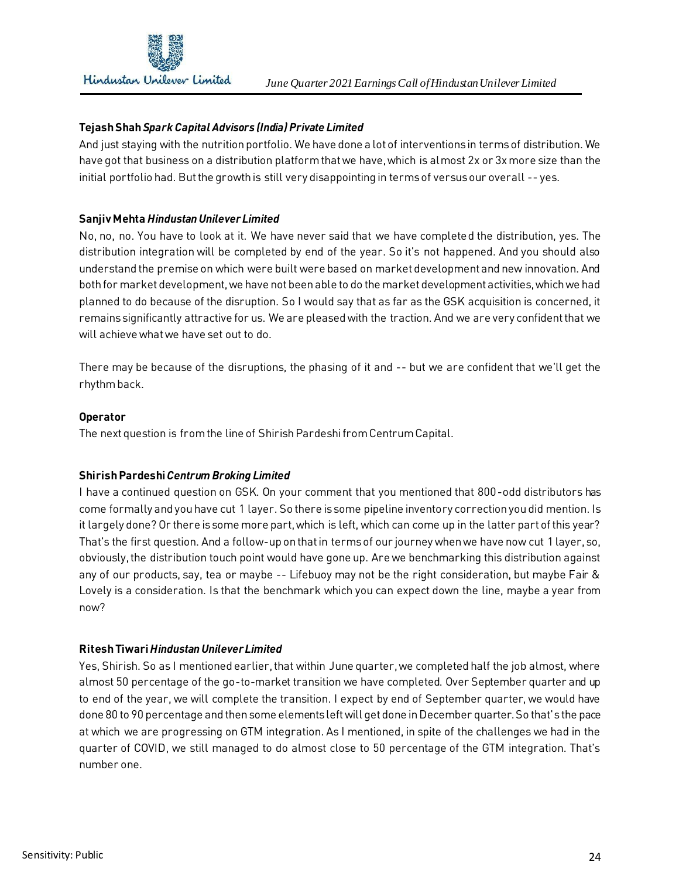

# **Tejash Shah** *Spark Capital Advisors (India) Private Limited*

And just staying with the nutrition portfolio. We have done a lot of interventions in terms of distribution. We have got that business on a distribution platform that we have, which is almost 2x or 3x more size than the initial portfolio had. But the growth is still very disappointing in terms of versus our overall -- yes.

# **Sanjiv Mehta** *Hindustan Unilever Limited*

No, no, no. You have to look at it. We have never said that we have completed the distribution, yes. The distribution integration will be completed by end of the year. So it's not happened. And you should also understand the premise on which were built were based on market development and new innovation. And both for market development, we have not been able to do the market development activities, which we had planned to do because of the disruption. So I would say that as far as the GSK acquisition is concerned, it remains significantly attractive for us. We are pleased with the traction. And we are very confident that we will achieve what we have set out to do.

There may be because of the disruptions, the phasing of it and -- but we are confident that we'll get the rhythm back.

## **Operator**

The next question is from the line of Shirish Pardeshi from Centrum Capital.

## **Shirish Pardeshi** *Centrum Broking Limited*

I have a continued question on GSK. On your comment that you mentioned that 800-odd distributors has come formally and you have cut 1 layer. So there is some pipeline inventory correction you did mention. Is it largely done? Or there is some more part, which is left, which can come up in the latter part of this year? That's the first question. And a follow-up on that in terms of our journey when we have now cut 1 layer, so, obviously, the distribution touch point would have gone up. Are we benchmarking this distribution against any of our products, say, tea or maybe -- Lifebuoy may not be the right consideration, but maybe Fair & Lovely is a consideration. Is that the benchmark which you can expect down the line, maybe a year from now?

# **Ritesh Tiwari** *Hindustan Unilever Limited*

Yes, Shirish. So as I mentioned earlier, that within June quarter, we completed half the job almost, where almost 50 percentage of the go-to-market transition we have completed. Over September quarter and up to end of the year, we will complete the transition. I expect by end of September quarter, we would have done 80 to 90 percentage and then some elements left will get done in December quarter. So that's the pace at which we are progressing on GTM integration. As I mentioned, in spite of the challenges we had in the quarter of COVID, we still managed to do almost close to 50 percentage of the GTM integration. That's number one.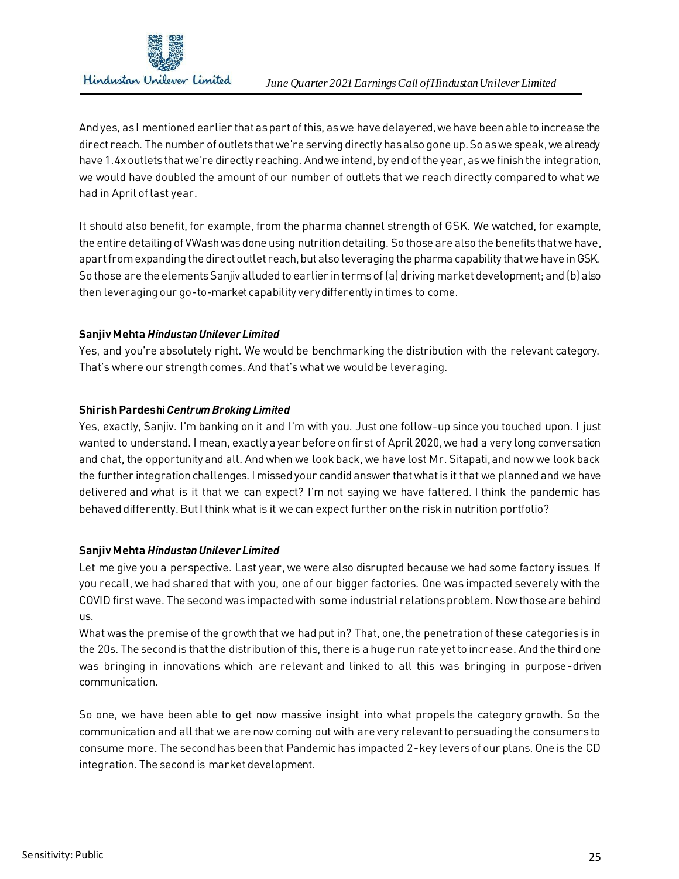

And yes, as I mentioned earlier that aspart of this, as we have delayered, we have been able to increase the direct reach. The number of outlets that we're serving directly has also gone up. So as we speak, we already have 1.4x outlets that we're directly reaching. And we intend, by end of the year, as we finish the integration, we would have doubled the amount of our number of outlets that we reach directly compared to what we had in April of last year.

It should also benefit, for example, from the pharma channel strength of GSK. We watched, for example, the entire detailing of VWash was done using nutrition detailing. So those are also the benefits that we have, apart from expanding the direct outlet reach, but also leveraging the pharma capability that we have in GSK. So those are the elements Sanjiv alluded to earlier in terms of (a) driving market development; and (b) also then leveraging our go-to-market capability very differently in times to come.

# **Sanjiv Mehta** *Hindustan Unilever Limited*

Yes, and you're absolutely right. We would be benchmarking the distribution with the relevant category. That's where our strength comes. And that's what we would be leveraging.

# **Shirish Pardeshi** *Centrum Broking Limited*

Yes, exactly, Sanjiv. I'm banking on it and I'm with you. Just one follow-up since you touched upon. I just wanted to understand. I mean, exactly a year before on first of April 2020, we had a very long conversation and chat, the opportunity and all. And when we look back, we have lost Mr. Sitapati, and now we look back the further integration challenges. I missed your candid answer that what is it that we planned and we have delivered and what is it that we can expect? I'm not saying we have faltered. I think the pandemic has behaved differently. But I think what is it we can expect further on the risk in nutrition portfolio?

# **Sanjiv Mehta** *Hindustan Unilever Limited*

Let me give you a perspective. Last year, we were also disrupted because we had some factory issues. If you recall, we had shared that with you, one of our bigger factories. One was impacted severely with the COVID first wave. The second was impacted with some industrial relations problem. Now those are behind us.

What was the premise of the growth that we had put in? That, one, the penetration of these categories is in the 20s. The second is that the distribution of this, there is a huge run rate yet to increase. And the third one was bringing in innovations which are relevant and linked to all this was bringing in purpose-driven communication.

So one, we have been able to get now massive insight into what propels the category growth. So the communication and all that we are now coming out with are very relevant to persuading the consumers to consume more. The second has been that Pandemic has impacted 2-key levers of our plans. One is the CD integration. The second is market development.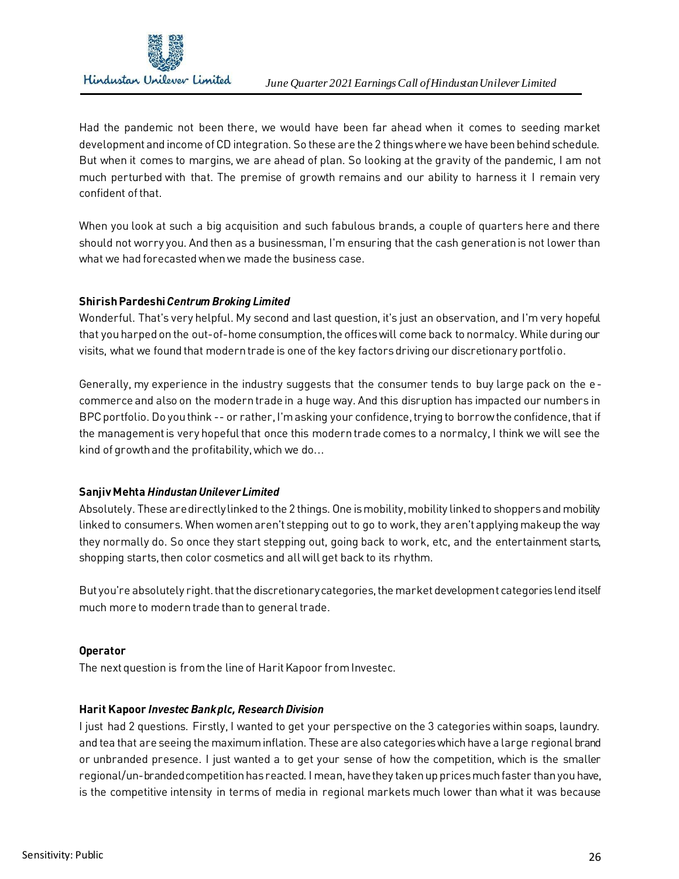

Had the pandemic not been there, we would have been far ahead when it comes to seeding market development and income of CD integration. So these are the 2 things where we have been behind schedule. But when it comes to margins, we are ahead of plan. So looking at the gravity of the pandemic, I am not much perturbed with that. The premise of growth remains and our ability to harness it I remain very confident of that.

When you look at such a big acquisition and such fabulous brands, a couple of quarters here and there should not worry you. And then as a businessman, I'm ensuring that the cash generation is not lower than what we had forecasted when we made the business case.

# **Shirish Pardeshi** *Centrum Broking Limited*

Wonderful. That's very helpful. My second and last question, it's just an observation, and I'm very hopeful that you harped on the out-of-home consumption, the offices will come back to normalcy. While during our visits, what we found that modern trade is one of the key factors driving our discretionary portfolio.

Generally, my experience in the industry suggests that the consumer tends to buy large pack on the ecommerce and also on the modern trade in a huge way. And this disruption has impacted our numbers in BPC portfolio. Do you think -- or rather, I'm asking your confidence, trying to borrow the confidence, that if the management is very hopeful that once this modern trade comes to a normalcy, I think we will see the kind of growth and the profitability, which we do...

# **Sanjiv Mehta** *Hindustan Unilever Limited*

Absolutely. These are directly linked to the 2 things. One is mobility, mobility linked to shoppers and mobility linked to consumers. When women aren't stepping out to go to work, they aren't applying makeup the way they normally do. So once they start stepping out, going back to work, etc, and the entertainment starts, shopping starts, then color cosmetics and all will get back to its rhythm.

But you're absolutely right. that the discretionary categories, the market development categories lend itself much more to modern trade than to general trade.

# **Operator**

The next question is from the line of Harit Kapoor from Investec.

# **Harit Kapoor** *Investec Bank plc, Research Division*

I just had 2 questions. Firstly, I wanted to get your perspective on the 3 categories within soaps, laundry. and tea that are seeing the maximum inflation. These are also categories which have a large regional brand or unbranded presence. I just wanted a to get your sense of how the competition, which is the smaller regional/un-branded competition has reacted. I mean, have they takenup prices much faster than you have, is the competitive intensity in terms of media in regional markets much lower than what it was because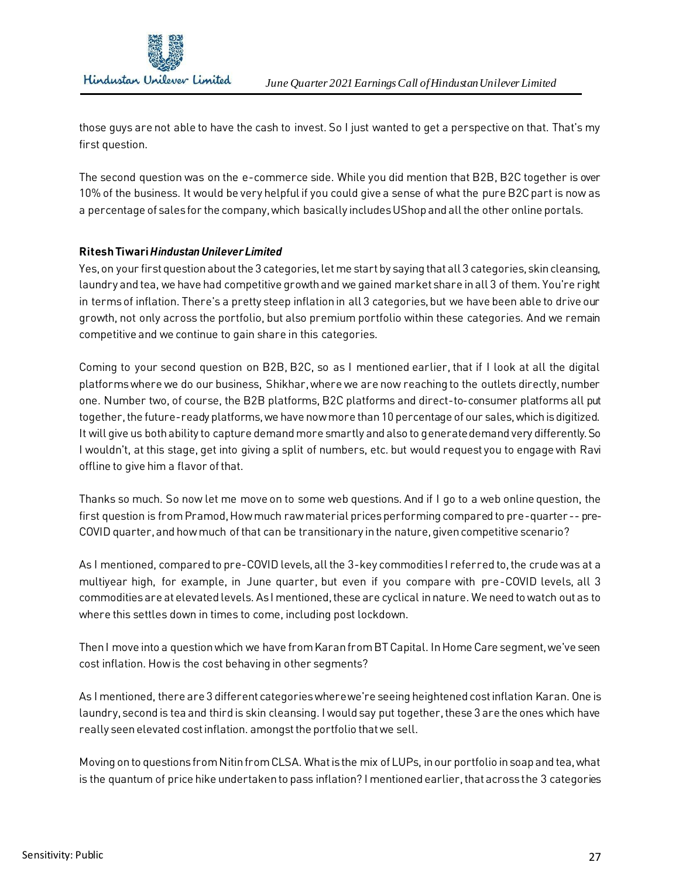

those guys are not able to have the cash to invest. So I just wanted to get a perspective on that. That's my first question.

The second question was on the e-commerce side. While you did mention that B2B, B2C together is over 10% of the business. It would be very helpful if you could give a sense of what the pure B2C part is now as a percentage of sales for the company, which basically includes UShop and all the other online portals.

# **Ritesh Tiwari** *Hindustan Unilever Limited*

Yes, on your first question about the 3 categories, let me start by saying that all 3 categories, skin cleansing, laundry and tea, we have had competitive growth and we gained market share in all 3 of them. You're right in terms of inflation. There's a pretty steep inflation in all 3 categories, but we have been able to drive our growth, not only across the portfolio, but also premium portfolio within these categories. And we remain competitive and we continue to gain share in this categories.

Coming to your second question on B2B, B2C, so as I mentioned earlier, that if I look at all the digital platforms where we do our business, Shikhar, where we are now reaching to the outlets directly, number one. Number two, of course, the B2B platforms, B2C platforms and direct-to-consumer platforms all put together, the future-ready platforms, we have now more than 10 percentage of our sales, which is digitized. It will give us both ability to capture demand more smartly and also to generate demand very differently. So I wouldn't, at this stage, get into giving a split of numbers, etc. but would request you to engage with Ravi offline to give him a flavor of that.

Thanks so much. So now let me move on to some web questions. And if I go to a web online question, the first question is from Pramod, How much raw material prices performing compared to pre-quarter -- pre-COVID quarter, and how much of that can be transitionary in the nature, given competitive scenario?

As I mentioned, compared to pre-COVID levels, all the 3-key commodities I referred to, the crude was at a multiyear high, for example, in June quarter, but even if you compare with pre-COVID levels, all 3 commodities are at elevated levels. As I mentioned, these are cyclical in nature. We need to watch out as to where this settles down in times to come, including post lockdown.

Then I move into a question which we have from Karan from BT Capital. In Home Care segment, we've seen cost inflation. How is the cost behaving in other segments?

As I mentioned, there are 3 different categories where we're seeing heightened cost inflation Karan. One is laundry, second is tea and third is skin cleansing. I would say put together, these 3 are the ones which have really seen elevated cost inflation. amongst the portfolio that we sell.

Moving on to questions from Nitin from CLSA. What is the mix of LUPs, in our portfolio in soap and tea, what is the quantum of price hike undertaken to pass inflation? I mentioned earlier, that across the 3 categories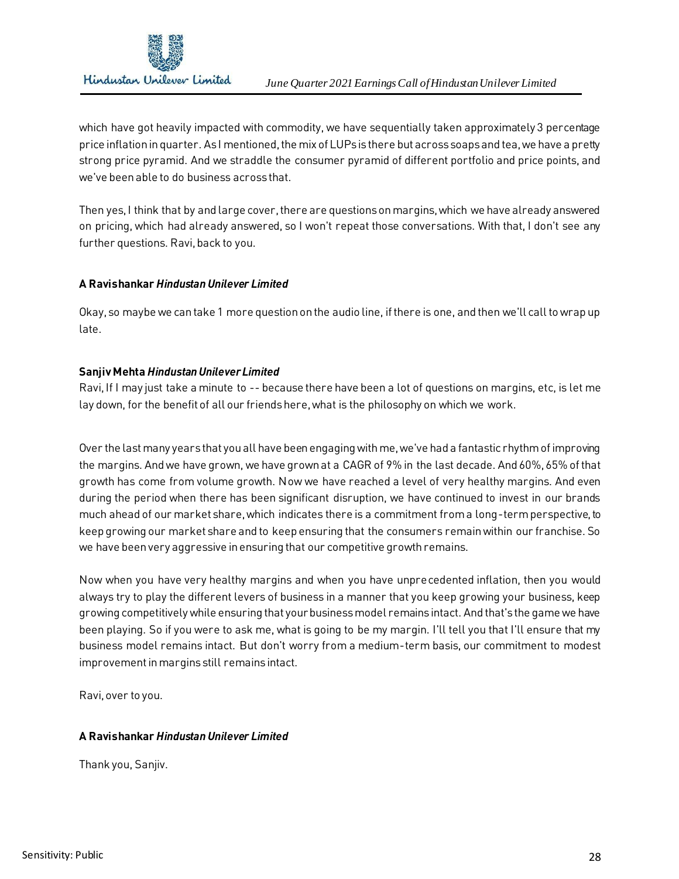

which have got heavily impacted with commodity, we have sequentially taken approximately 3 percentage price inflation in quarter. As I mentioned, the mix of LUPs is there but across soaps and tea, we have a pretty strong price pyramid. And we straddle the consumer pyramid of different portfolio and price points, and we've been able to do business across that.

Then yes, I think that by and large cover, there are questions on margins, which we have already answered on pricing, which had already answered, so I won't repeat those conversations. With that, I don't see any further questions. Ravi, back to you.

## **A Ravishankar** *Hindustan Unilever Limited*

Okay, so maybe we can take 1 more question on the audio line, if there is one, and then we'll call to wrap up late.

## **Sanjiv Mehta** *Hindustan Unilever Limited*

Ravi, If I may just take a minute to -- because there have been a lot of questions on margins, etc, is let me lay down, for the benefit of all our friends here, what is the philosophy on which we work.

Over the last many years that you all have been engaging with me, we've had a fantastic rhythm of improving the margins. And we have grown, we have grown at a CAGR of 9% in the last decade. And 60%, 65% of that growth has come from volume growth. Now we have reached a level of very healthy margins. And even during the period when there has been significant disruption, we have continued to invest in our brands much ahead of our market share, which indicates there is a commitment from a long-term perspective, to keep growing our market share and to keep ensuring that the consumers remain within our franchise. So we have been very aggressive in ensuring that our competitive growth remains.

Now when you have very healthy margins and when you have unprecedented inflation, then you would always try to play the different levers of business in a manner that you keep growing your business, keep growing competitively while ensuring that your business model remains intact. And that's the game we have been playing. So if you were to ask me, what is going to be my margin. I'll tell you that I'll ensure that my business model remains intact. But don't worry from a medium-term basis, our commitment to modest improvement in margins still remains intact.

Ravi, over to you.

# **A Ravishankar** *Hindustan Unilever Limited*

Thank you, Sanjiv.